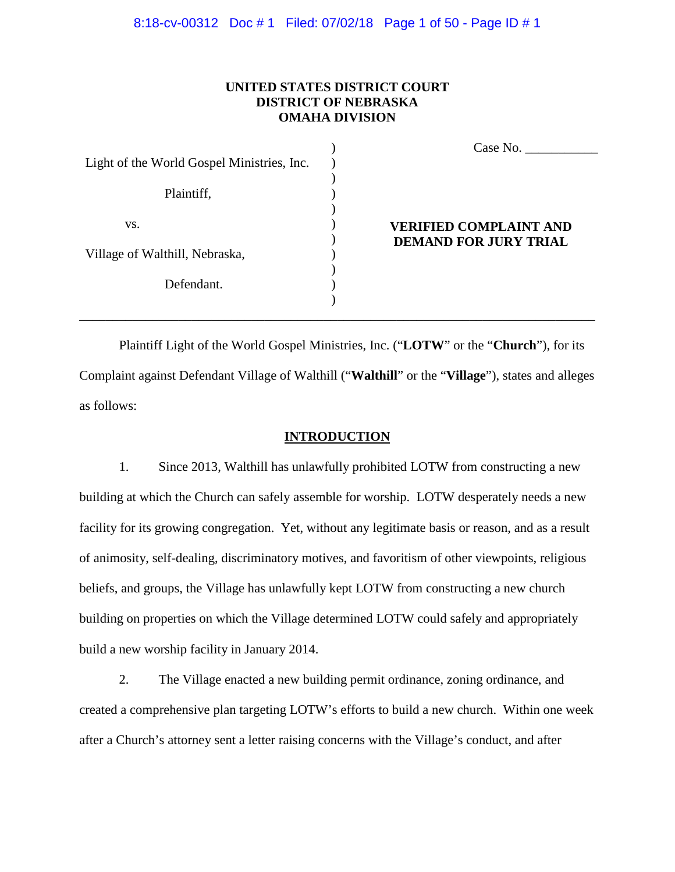#### 8:18-cv-00312 Doc # 1 Filed: 07/02/18 Page 1 of 50 - Page ID # 1

### **UNITED STATES DISTRICT COURT DISTRICT OF NEBRASKA OMAHA DIVISION**

|                                            |  | Case No.                                                      |
|--------------------------------------------|--|---------------------------------------------------------------|
| Light of the World Gospel Ministries, Inc. |  |                                                               |
| Plaintiff,                                 |  |                                                               |
| VS.                                        |  | <b>VERIFIED COMPLAINT AND</b><br><b>DEMAND FOR JURY TRIAL</b> |
| Village of Walthill, Nebraska,             |  |                                                               |
| Defendant.                                 |  |                                                               |

Plaintiff Light of the World Gospel Ministries, Inc. ("**LOTW**" or the "**Church**"), for its Complaint against Defendant Village of Walthill ("**Walthill**" or the "**Village**"), states and alleges as follows:

\_\_\_\_\_\_\_\_\_\_\_\_\_\_\_\_\_\_\_\_\_\_\_\_\_\_\_\_\_\_\_\_\_\_\_\_\_\_\_\_\_\_\_\_\_\_\_\_\_\_\_\_\_\_\_\_\_\_\_\_\_\_\_\_\_\_\_\_\_\_\_\_\_\_\_\_\_\_

#### **INTRODUCTION**

1. Since 2013, Walthill has unlawfully prohibited LOTW from constructing a new building at which the Church can safely assemble for worship. LOTW desperately needs a new facility for its growing congregation. Yet, without any legitimate basis or reason, and as a result of animosity, self-dealing, discriminatory motives, and favoritism of other viewpoints, religious beliefs, and groups, the Village has unlawfully kept LOTW from constructing a new church building on properties on which the Village determined LOTW could safely and appropriately build a new worship facility in January 2014.

2. The Village enacted a new building permit ordinance, zoning ordinance, and created a comprehensive plan targeting LOTW's efforts to build a new church. Within one week after a Church's attorney sent a letter raising concerns with the Village's conduct, and after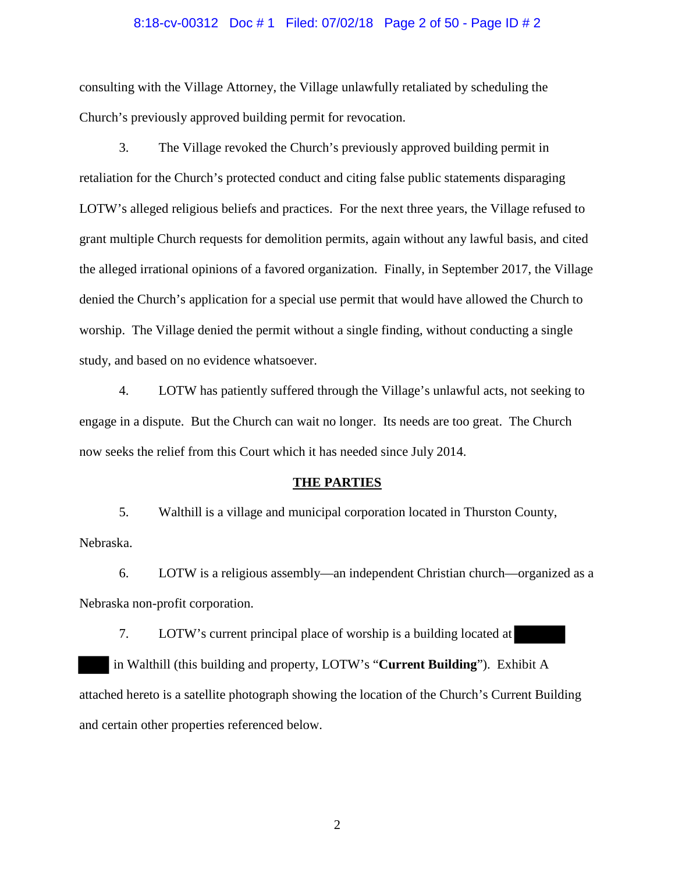#### 8:18-cv-00312 Doc # 1 Filed: 07/02/18 Page 2 of 50 - Page ID # 2

consulting with the Village Attorney, the Village unlawfully retaliated by scheduling the Church's previously approved building permit for revocation.

3. The Village revoked the Church's previously approved building permit in retaliation for the Church's protected conduct and citing false public statements disparaging LOTW's alleged religious beliefs and practices. For the next three years, the Village refused to grant multiple Church requests for demolition permits, again without any lawful basis, and cited the alleged irrational opinions of a favored organization. Finally, in September 2017, the Village denied the Church's application for a special use permit that would have allowed the Church to worship. The Village denied the permit without a single finding, without conducting a single study, and based on no evidence whatsoever.

4. LOTW has patiently suffered through the Village's unlawful acts, not seeking to engage in a dispute. But the Church can wait no longer. Its needs are too great. The Church now seeks the relief from this Court which it has needed since July 2014.

#### **THE PARTIES**

5. Walthill is a village and municipal corporation located in Thurston County, Nebraska.

6. LOTW is a religious assembly—an independent Christian church—organized as a Nebraska non-profit corporation.

7. LOTW's current principal place of worship is a building located at in Walthill (this building and property, LOTW's "**Current Building**"). Exhibit A attached hereto is a satellite photograph showing the location of the Church's Current Building and certain other properties referenced below.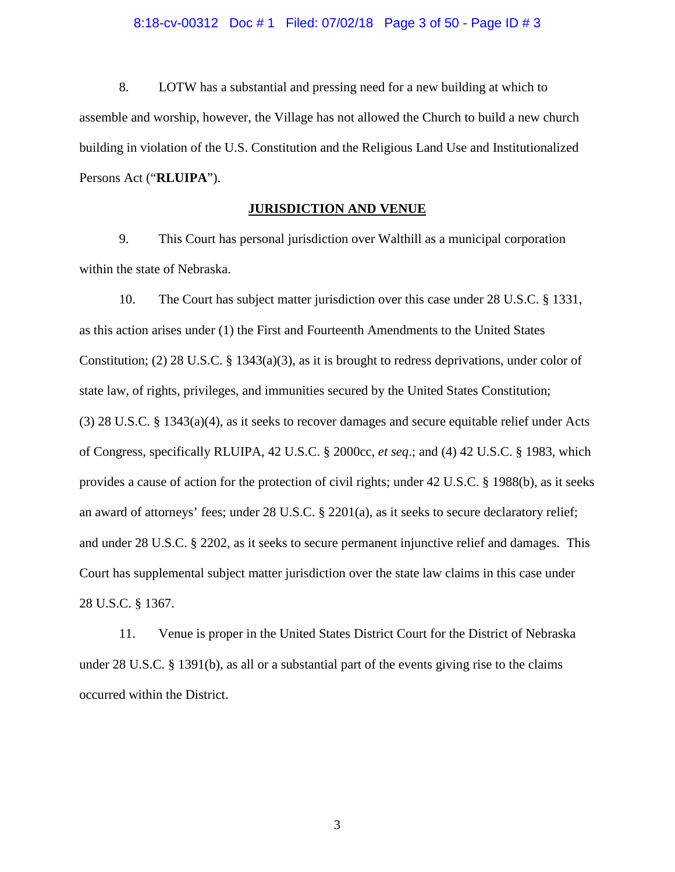#### 8:18-cv-00312 Doc # 1 Filed: 07/02/18 Page 3 of 50 - Page ID # 3

8. LOTW has a substantial and pressing need for a new building at which to assemble and worship, however, the Village has not allowed the Church to build a new church building in violation of the U.S. Constitution and the Religious Land Use and Institutionalized Persons Act ("**RLUIPA**").

### **JURISDICTION AND VENUE**

9. This Court has personal jurisdiction over Walthill as a municipal corporation within the state of Nebraska.

10. The Court has subject matter jurisdiction over this case under 28 U.S.C. § 1331, as this action arises under (1) the First and Fourteenth Amendments to the United States Constitution; (2) 28 U.S.C. § 1343(a)(3), as it is brought to redress deprivations, under color of state law, of rights, privileges, and immunities secured by the United States Constitution; (3) 28 U.S.C. § 1343(a)(4), as it seeks to recover damages and secure equitable relief under Acts of Congress, specifically RLUIPA, 42 U.S.C. § 2000cc, *et seq*.; and (4) 42 U.S.C. § 1983, which provides a cause of action for the protection of civil rights; under 42 U.S.C. § 1988(b), as it seeks an award of attorneys' fees; under 28 U.S.C. § 2201(a), as it seeks to secure declaratory relief; and under 28 U.S.C. § 2202, as it seeks to secure permanent injunctive relief and damages. This Court has supplemental subject matter jurisdiction over the state law claims in this case under 28 U.S.C. § 1367.

11. Venue is proper in the United States District Court for the District of Nebraska under 28 U.S.C. § 1391(b), as all or a substantial part of the events giving rise to the claims occurred within the District.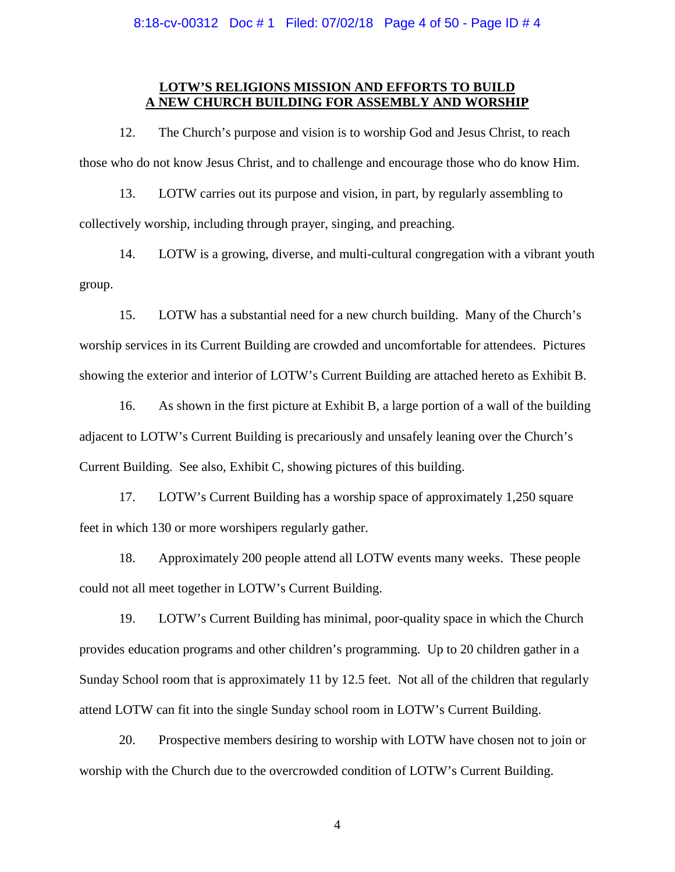8:18-cv-00312 Doc # 1 Filed: 07/02/18 Page 4 of 50 - Page ID # 4

### **LOTW'S RELIGIONS MISSION AND EFFORTS TO BUILD A NEW CHURCH BUILDING FOR ASSEMBLY AND WORSHIP**

12. The Church's purpose and vision is to worship God and Jesus Christ, to reach those who do not know Jesus Christ, and to challenge and encourage those who do know Him.

13. LOTW carries out its purpose and vision, in part, by regularly assembling to collectively worship, including through prayer, singing, and preaching.

14. LOTW is a growing, diverse, and multi-cultural congregation with a vibrant youth group.

15. LOTW has a substantial need for a new church building. Many of the Church's worship services in its Current Building are crowded and uncomfortable for attendees. Pictures showing the exterior and interior of LOTW's Current Building are attached hereto as Exhibit B.

16. As shown in the first picture at Exhibit B, a large portion of a wall of the building adjacent to LOTW's Current Building is precariously and unsafely leaning over the Church's Current Building. See also, Exhibit C, showing pictures of this building.

17. LOTW's Current Building has a worship space of approximately 1,250 square feet in which 130 or more worshipers regularly gather.

18. Approximately 200 people attend all LOTW events many weeks. These people could not all meet together in LOTW's Current Building.

19. LOTW's Current Building has minimal, poor-quality space in which the Church provides education programs and other children's programming. Up to 20 children gather in a Sunday School room that is approximately 11 by 12.5 feet. Not all of the children that regularly attend LOTW can fit into the single Sunday school room in LOTW's Current Building.

20. Prospective members desiring to worship with LOTW have chosen not to join or worship with the Church due to the overcrowded condition of LOTW's Current Building.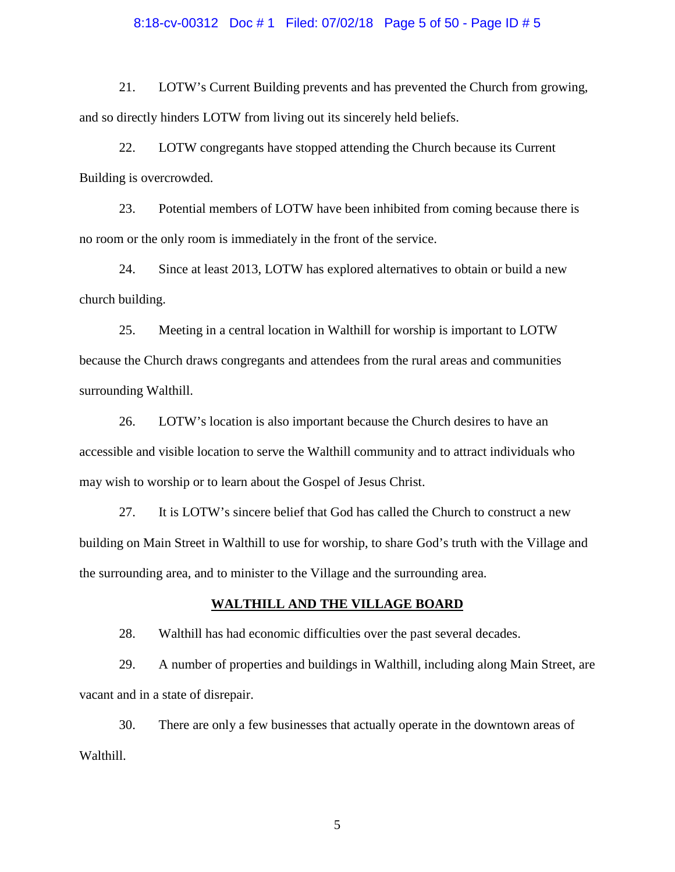#### 8:18-cv-00312 Doc # 1 Filed: 07/02/18 Page 5 of 50 - Page ID # 5

21. LOTW's Current Building prevents and has prevented the Church from growing, and so directly hinders LOTW from living out its sincerely held beliefs.

22. LOTW congregants have stopped attending the Church because its Current Building is overcrowded.

23. Potential members of LOTW have been inhibited from coming because there is no room or the only room is immediately in the front of the service.

24. Since at least 2013, LOTW has explored alternatives to obtain or build a new church building.

25. Meeting in a central location in Walthill for worship is important to LOTW because the Church draws congregants and attendees from the rural areas and communities surrounding Walthill.

26. LOTW's location is also important because the Church desires to have an accessible and visible location to serve the Walthill community and to attract individuals who may wish to worship or to learn about the Gospel of Jesus Christ.

27. It is LOTW's sincere belief that God has called the Church to construct a new building on Main Street in Walthill to use for worship, to share God's truth with the Village and the surrounding area, and to minister to the Village and the surrounding area.

### **WALTHILL AND THE VILLAGE BOARD**

28. Walthill has had economic difficulties over the past several decades.

29. A number of properties and buildings in Walthill, including along Main Street, are vacant and in a state of disrepair.

30. There are only a few businesses that actually operate in the downtown areas of Walthill.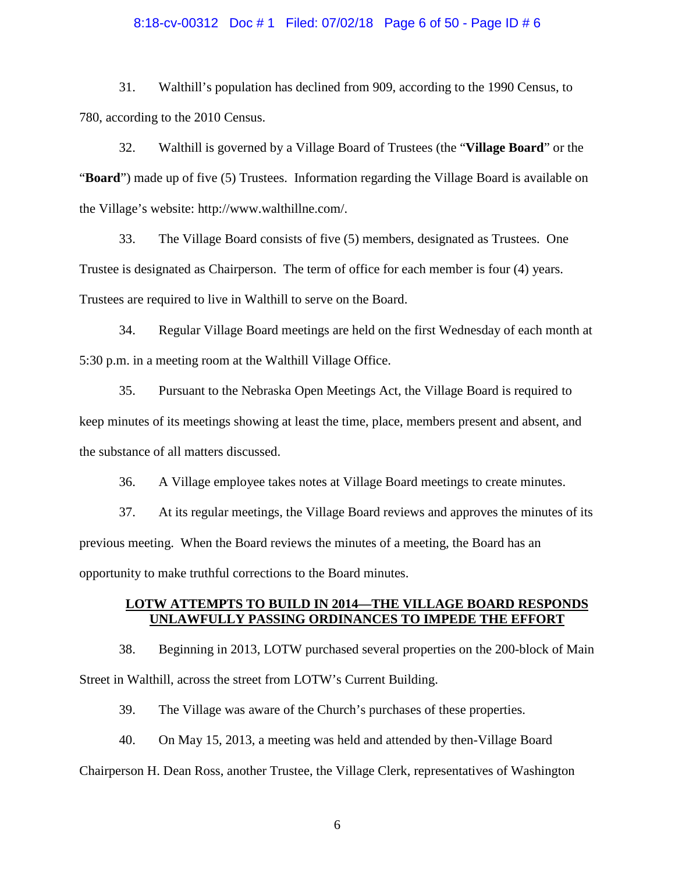#### 8:18-cv-00312 Doc # 1 Filed: 07/02/18 Page 6 of 50 - Page ID # 6

31. Walthill's population has declined from 909, according to the 1990 Census, to 780, according to the 2010 Census.

32. Walthill is governed by a Village Board of Trustees (the "**Village Board**" or the "**Board**") made up of five (5) Trustees. Information regarding the Village Board is available on the Village's website: http://www.walthillne.com/.

33. The Village Board consists of five (5) members, designated as Trustees. One Trustee is designated as Chairperson. The term of office for each member is four (4) years. Trustees are required to live in Walthill to serve on the Board.

34. Regular Village Board meetings are held on the first Wednesday of each month at 5:30 p.m. in a meeting room at the Walthill Village Office.

35. Pursuant to the Nebraska Open Meetings Act, the Village Board is required to keep minutes of its meetings showing at least the time, place, members present and absent, and the substance of all matters discussed.

36. A Village employee takes notes at Village Board meetings to create minutes.

37. At its regular meetings, the Village Board reviews and approves the minutes of its previous meeting. When the Board reviews the minutes of a meeting, the Board has an opportunity to make truthful corrections to the Board minutes.

### **LOTW ATTEMPTS TO BUILD IN 2014—THE VILLAGE BOARD RESPONDS UNLAWFULLY PASSING ORDINANCES TO IMPEDE THE EFFORT**

38. Beginning in 2013, LOTW purchased several properties on the 200-block of Main Street in Walthill, across the street from LOTW's Current Building.

39. The Village was aware of the Church's purchases of these properties.

40. On May 15, 2013, a meeting was held and attended by then-Village Board

Chairperson H. Dean Ross, another Trustee, the Village Clerk, representatives of Washington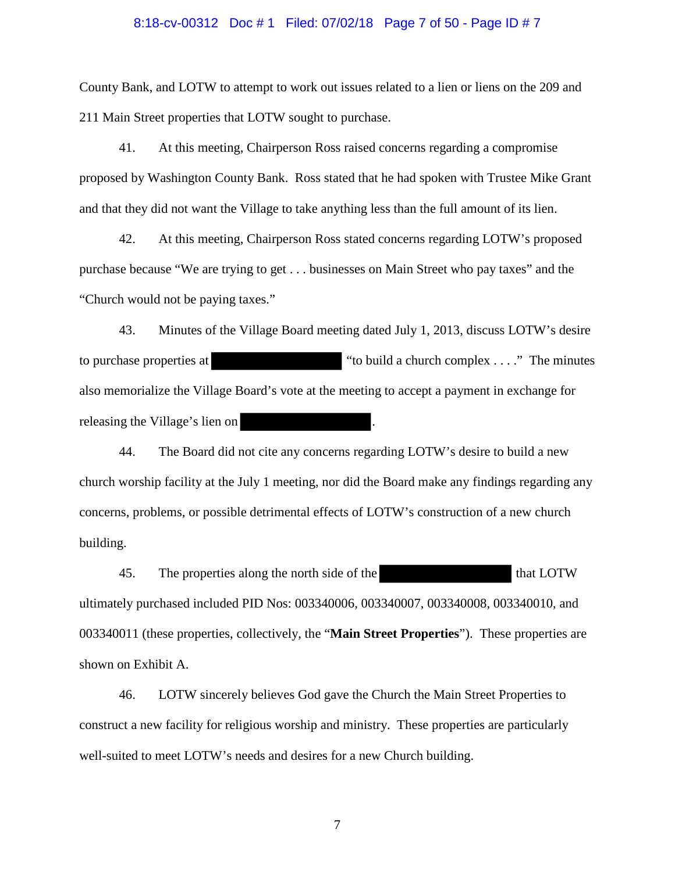# 8:18-cv-00312 Doc # 1 Filed: 07/02/18 Page 7 of 50 - Page ID # 7

County Bank, and LOTW to attempt to work out issues related to a lien or liens on the 209 and 211 Main Street properties that LOTW sought to purchase.

41. At this meeting, Chairperson Ross raised concerns regarding a compromise proposed by Washington County Bank. Ross stated that he had spoken with Trustee Mike Grant and that they did not want the Village to take anything less than the full amount of its lien.

42. At this meeting, Chairperson Ross stated concerns regarding LOTW's proposed purchase because "We are trying to get . . . businesses on Main Street who pay taxes" and the "Church would not be paying taxes."

43. Minutes of the Village Board meeting dated July 1, 2013, discuss LOTW's desire to purchase properties at "to build a church complex . . . ." The minutes also memorialize the Village Board's vote at the meeting to accept a payment in exchange for releasing the Village's lien on

44. The Board did not cite any concerns regarding LOTW's desire to build a new church worship facility at the July 1 meeting, nor did the Board make any findings regarding any concerns, problems, or possible detrimental effects of LOTW's construction of a new church building.

45. The properties along the north side of the that LOTW ultimately purchased included PID Nos: 003340006, 003340007, 003340008, 003340010, and 003340011 (these properties, collectively, the "**Main Street Properties**"). These properties are shown on Exhibit A.

46. LOTW sincerely believes God gave the Church the Main Street Properties to construct a new facility for religious worship and ministry. These properties are particularly well-suited to meet LOTW's needs and desires for a new Church building.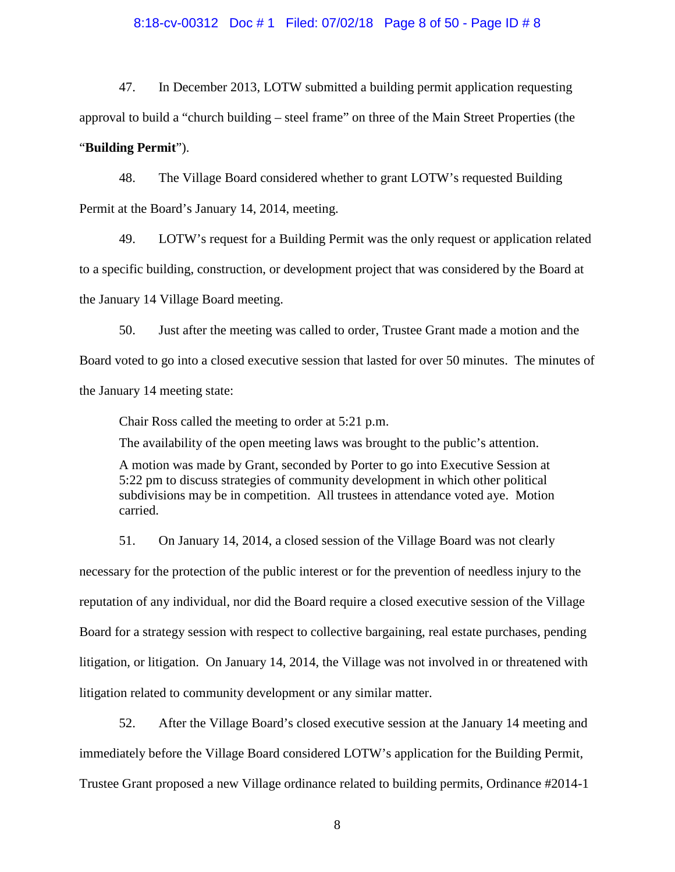#### 8:18-cv-00312 Doc # 1 Filed: 07/02/18 Page 8 of 50 - Page ID # 8

47. In December 2013, LOTW submitted a building permit application requesting approval to build a "church building – steel frame" on three of the Main Street Properties (the

# "**Building Permit**").

48. The Village Board considered whether to grant LOTW's requested Building Permit at the Board's January 14, 2014, meeting.

49. LOTW's request for a Building Permit was the only request or application related to a specific building, construction, or development project that was considered by the Board at the January 14 Village Board meeting.

50. Just after the meeting was called to order, Trustee Grant made a motion and the Board voted to go into a closed executive session that lasted for over 50 minutes. The minutes of the January 14 meeting state:

Chair Ross called the meeting to order at 5:21 p.m.

The availability of the open meeting laws was brought to the public's attention.

A motion was made by Grant, seconded by Porter to go into Executive Session at 5:22 pm to discuss strategies of community development in which other political subdivisions may be in competition. All trustees in attendance voted aye. Motion carried.

51. On January 14, 2014, a closed session of the Village Board was not clearly necessary for the protection of the public interest or for the prevention of needless injury to the reputation of any individual, nor did the Board require a closed executive session of the Village Board for a strategy session with respect to collective bargaining, real estate purchases, pending litigation, or litigation. On January 14, 2014, the Village was not involved in or threatened with litigation related to community development or any similar matter.

52. After the Village Board's closed executive session at the January 14 meeting and immediately before the Village Board considered LOTW's application for the Building Permit, Trustee Grant proposed a new Village ordinance related to building permits, Ordinance #2014-1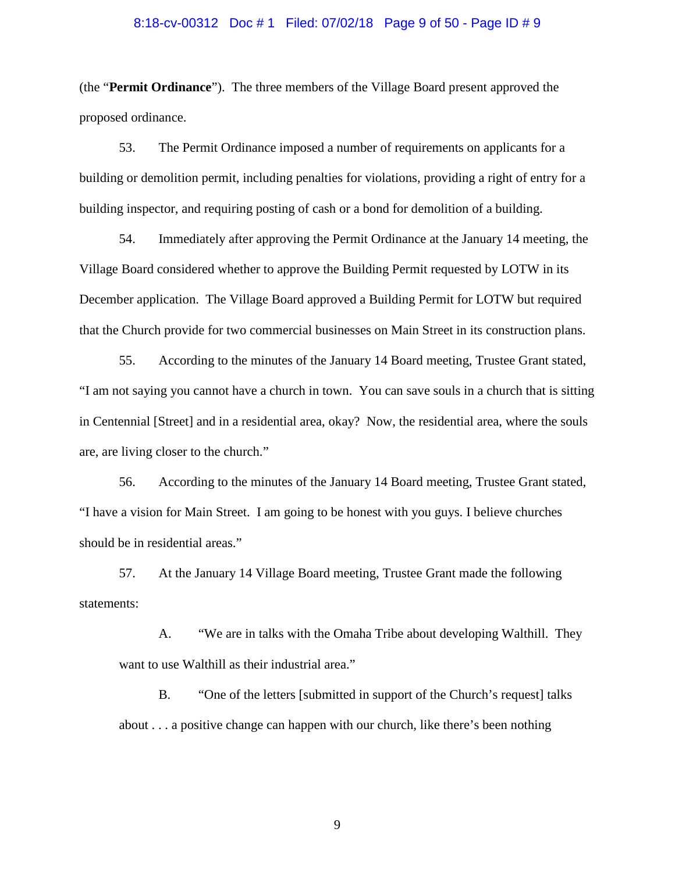#### 8:18-cv-00312 Doc # 1 Filed: 07/02/18 Page 9 of 50 - Page ID # 9

(the "**Permit Ordinance**"). The three members of the Village Board present approved the proposed ordinance.

53. The Permit Ordinance imposed a number of requirements on applicants for a building or demolition permit, including penalties for violations, providing a right of entry for a building inspector, and requiring posting of cash or a bond for demolition of a building.

54. Immediately after approving the Permit Ordinance at the January 14 meeting, the Village Board considered whether to approve the Building Permit requested by LOTW in its December application. The Village Board approved a Building Permit for LOTW but required that the Church provide for two commercial businesses on Main Street in its construction plans.

55. According to the minutes of the January 14 Board meeting, Trustee Grant stated, "I am not saying you cannot have a church in town. You can save souls in a church that is sitting in Centennial [Street] and in a residential area, okay? Now, the residential area, where the souls are, are living closer to the church."

56. According to the minutes of the January 14 Board meeting, Trustee Grant stated, "I have a vision for Main Street. I am going to be honest with you guys. I believe churches should be in residential areas."

57. At the January 14 Village Board meeting, Trustee Grant made the following statements:

A. "We are in talks with the Omaha Tribe about developing Walthill. They want to use Walthill as their industrial area."

B. "One of the letters [submitted in support of the Church's request] talks about . . . a positive change can happen with our church, like there's been nothing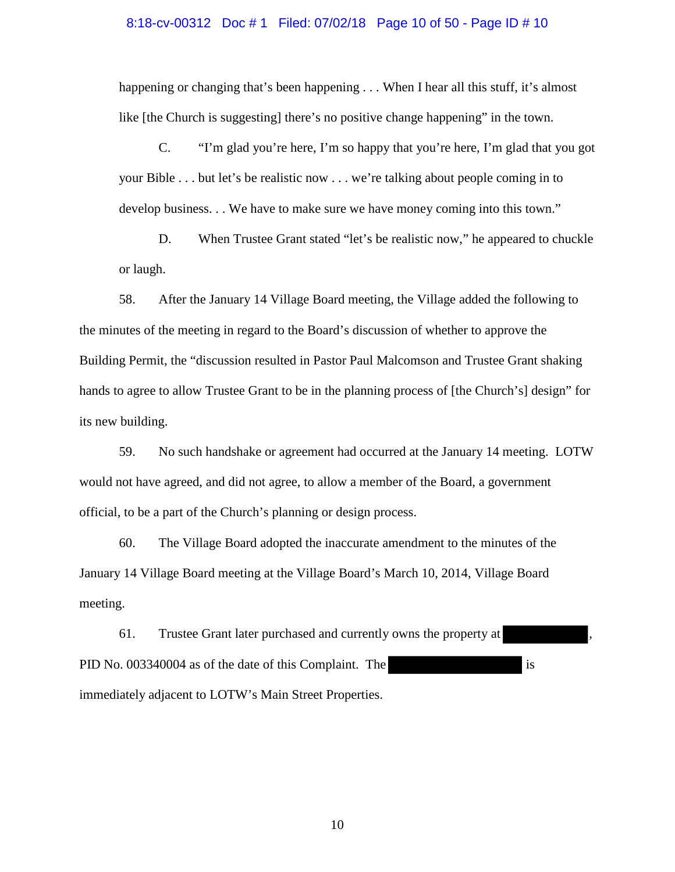#### 8:18-cv-00312 Doc # 1 Filed: 07/02/18 Page 10 of 50 - Page ID # 10

happening or changing that's been happening . . . When I hear all this stuff, it's almost like [the Church is suggesting] there's no positive change happening" in the town.

C. "I'm glad you're here, I'm so happy that you're here, I'm glad that you got your Bible . . . but let's be realistic now . . . we're talking about people coming in to develop business. . . We have to make sure we have money coming into this town."

D. When Trustee Grant stated "let's be realistic now," he appeared to chuckle or laugh.

58. After the January 14 Village Board meeting, the Village added the following to the minutes of the meeting in regard to the Board's discussion of whether to approve the Building Permit, the "discussion resulted in Pastor Paul Malcomson and Trustee Grant shaking hands to agree to allow Trustee Grant to be in the planning process of [the Church's] design" for its new building.

59. No such handshake or agreement had occurred at the January 14 meeting. LOTW would not have agreed, and did not agree, to allow a member of the Board, a government official, to be a part of the Church's planning or design process.

60. The Village Board adopted the inaccurate amendment to the minutes of the January 14 Village Board meeting at the Village Board's March 10, 2014, Village Board meeting.

61. Trustee Grant later purchased and currently owns the property at PID No. 003340004 as of the date of this Complaint. The is immediately adjacent to LOTW's Main Street Properties.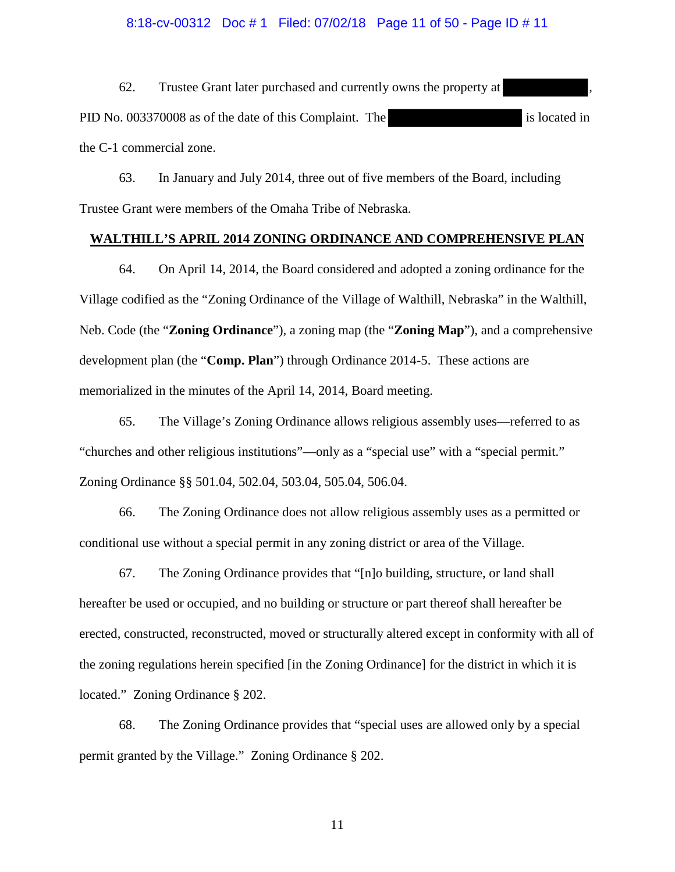#### 8:18-cv-00312 Doc # 1 Filed: 07/02/18 Page 11 of 50 - Page ID # 11

62. Trustee Grant later purchased and currently owns the property at PID No. 003370008 as of the date of this Complaint. The is located in the C-1 commercial zone.

63. In January and July 2014, three out of five members of the Board, including Trustee Grant were members of the Omaha Tribe of Nebraska.

#### **WALTHILL'S APRIL 2014 ZONING ORDINANCE AND COMPREHENSIVE PLAN**

64. On April 14, 2014, the Board considered and adopted a zoning ordinance for the Village codified as the "Zoning Ordinance of the Village of Walthill, Nebraska" in the Walthill, Neb. Code (the "**Zoning Ordinance**"), a zoning map (the "**Zoning Map**"), and a comprehensive development plan (the "**Comp. Plan**") through Ordinance 2014-5. These actions are memorialized in the minutes of the April 14, 2014, Board meeting.

65. The Village's Zoning Ordinance allows religious assembly uses—referred to as "churches and other religious institutions"—only as a "special use" with a "special permit." Zoning Ordinance §§ 501.04, 502.04, 503.04, 505.04, 506.04.

66. The Zoning Ordinance does not allow religious assembly uses as a permitted or conditional use without a special permit in any zoning district or area of the Village.

67. The Zoning Ordinance provides that "[n]o building, structure, or land shall hereafter be used or occupied, and no building or structure or part thereof shall hereafter be erected, constructed, reconstructed, moved or structurally altered except in conformity with all of the zoning regulations herein specified [in the Zoning Ordinance] for the district in which it is located." Zoning Ordinance § 202.

68. The Zoning Ordinance provides that "special uses are allowed only by a special permit granted by the Village." Zoning Ordinance § 202.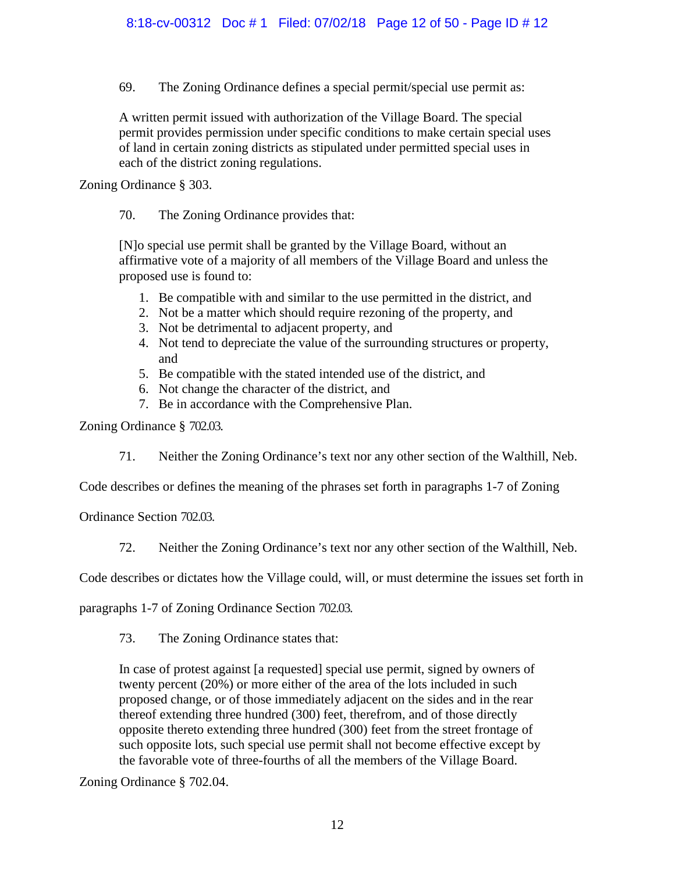69. The Zoning Ordinance defines a special permit/special use permit as:

A written permit issued with authorization of the Village Board. The special permit provides permission under specific conditions to make certain special uses of land in certain zoning districts as stipulated under permitted special uses in each of the district zoning regulations.

Zoning Ordinance § 303.

70. The Zoning Ordinance provides that:

[N]o special use permit shall be granted by the Village Board, without an affirmative vote of a majority of all members of the Village Board and unless the proposed use is found to:

- 1. Be compatible with and similar to the use permitted in the district, and
- 2. Not be a matter which should require rezoning of the property, and
- 3. Not be detrimental to adjacent property, and
- 4. Not tend to depreciate the value of the surrounding structures or property, and
- 5. Be compatible with the stated intended use of the district, and
- 6. Not change the character of the district, and
- 7. Be in accordance with the Comprehensive Plan.

Zoning Ordinance § 702.03.

71. Neither the Zoning Ordinance's text nor any other section of the Walthill, Neb.

Code describes or defines the meaning of the phrases set forth in paragraphs 1-7 of Zoning

Ordinance Section 702.03.

72. Neither the Zoning Ordinance's text nor any other section of the Walthill, Neb.

Code describes or dictates how the Village could, will, or must determine the issues set forth in

paragraphs 1-7 of Zoning Ordinance Section 702.03.

73. The Zoning Ordinance states that:

In case of protest against [a requested] special use permit, signed by owners of twenty percent (20%) or more either of the area of the lots included in such proposed change, or of those immediately adjacent on the sides and in the rear thereof extending three hundred (300) feet, therefrom, and of those directly opposite thereto extending three hundred (300) feet from the street frontage of such opposite lots, such special use permit shall not become effective except by the favorable vote of three-fourths of all the members of the Village Board.

Zoning Ordinance § 702.04.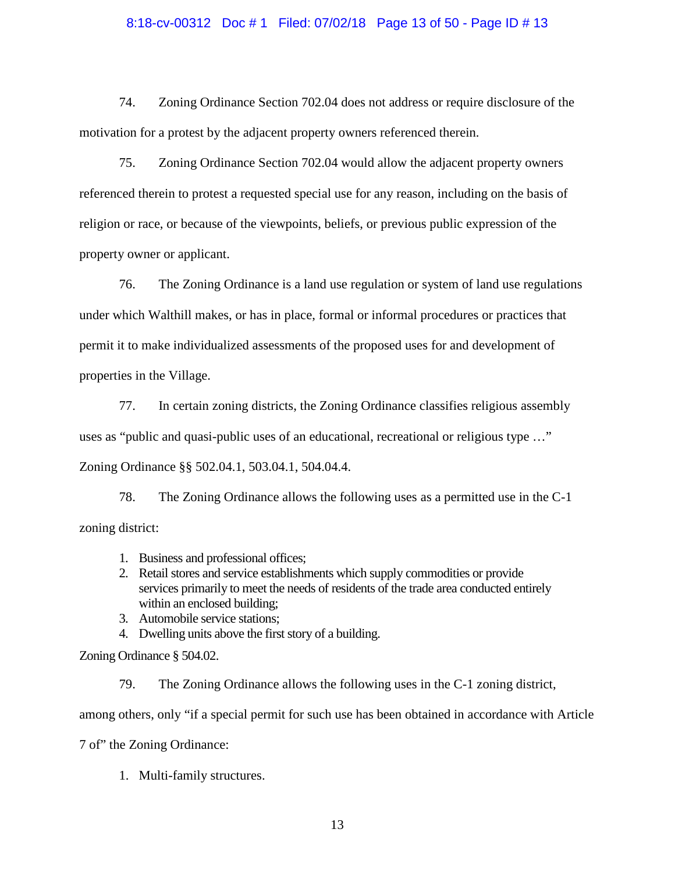#### 8:18-cv-00312 Doc # 1 Filed: 07/02/18 Page 13 of 50 - Page ID # 13

74. Zoning Ordinance Section 702.04 does not address or require disclosure of the motivation for a protest by the adjacent property owners referenced therein.

75. Zoning Ordinance Section 702.04 would allow the adjacent property owners referenced therein to protest a requested special use for any reason, including on the basis of religion or race, or because of the viewpoints, beliefs, or previous public expression of the property owner or applicant.

76. The Zoning Ordinance is a land use regulation or system of land use regulations under which Walthill makes, or has in place, formal or informal procedures or practices that permit it to make individualized assessments of the proposed uses for and development of properties in the Village.

77. In certain zoning districts, the Zoning Ordinance classifies religious assembly uses as "public and quasi-public uses of an educational, recreational or religious type …" Zoning Ordinance §§ 502.04.1, 503.04.1, 504.04.4.

78. The Zoning Ordinance allows the following uses as a permitted use in the C-1 zoning district:

- 1. Business and professional offices;
- 2. Retail stores and service establishments which supply commodities or provide services primarily to meet the needs of residents of the trade area conducted entirely within an enclosed building;
- 3. Automobile service stations;
- 4. Dwelling units above the first story of a building.

Zoning Ordinance § 504.02.

79. The Zoning Ordinance allows the following uses in the C-1 zoning district, among others, only "if a special permit for such use has been obtained in accordance with Article 7 of" the Zoning Ordinance:

1. Multi-family structures.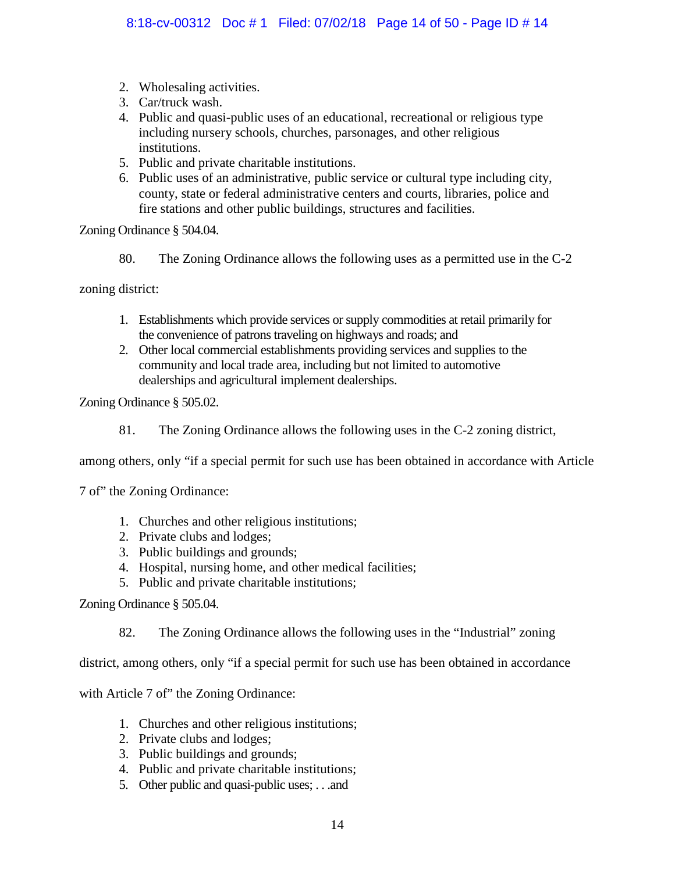- 2. Wholesaling activities.
- 3. Car/truck wash.
- 4. Public and quasi-public uses of an educational, recreational or religious type including nursery schools, churches, parsonages, and other religious institutions.
- 5. Public and private charitable institutions.
- 6. Public uses of an administrative, public service or cultural type including city, county, state or federal administrative centers and courts, libraries, police and fire stations and other public buildings, structures and facilities.

Zoning Ordinance § 504.04.

80. The Zoning Ordinance allows the following uses as a permitted use in the C-2

zoning district:

- 1. Establishments which provide services or supply commodities at retail primarily for the convenience of patrons traveling on highways and roads; and
- 2. Other local commercial establishments providing services and supplies to the community and local trade area, including but not limited to automotive dealerships and agricultural implement dealerships.

Zoning Ordinance § 505.02.

81. The Zoning Ordinance allows the following uses in the C-2 zoning district,

among others, only "if a special permit for such use has been obtained in accordance with Article

7 of" the Zoning Ordinance:

- 1. Churches and other religious institutions;
- 2. Private clubs and lodges;
- 3. Public buildings and grounds;
- 4. Hospital, nursing home, and other medical facilities;
- 5. Public and private charitable institutions;

Zoning Ordinance § 505.04.

82. The Zoning Ordinance allows the following uses in the "Industrial" zoning

district, among others, only "if a special permit for such use has been obtained in accordance

with Article 7 of" the Zoning Ordinance:

- 1. Churches and other religious institutions;
- 2. Private clubs and lodges;
- 3. Public buildings and grounds;
- 4. Public and private charitable institutions;
- 5. Other public and quasi-public uses; . . .and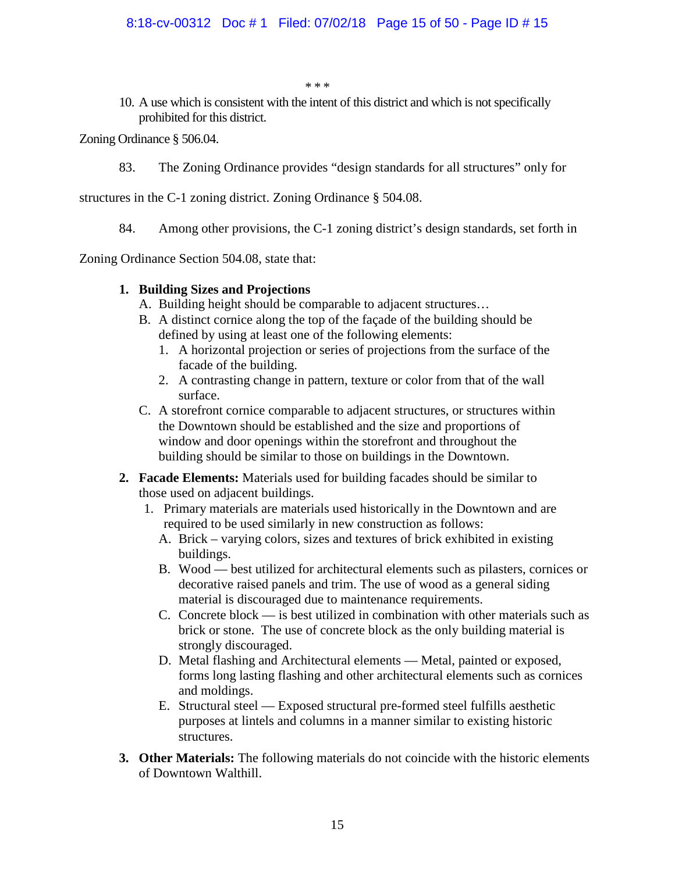\* \* \*

10. A use which is consistent with the intent of this district and which is not specifically prohibited for this district.

Zoning Ordinance § 506.04.

83. The Zoning Ordinance provides "design standards for all structures" only for

structures in the C-1 zoning district. Zoning Ordinance § 504.08.

84. Among other provisions, the C-1 zoning district's design standards, set forth in

Zoning Ordinance Section 504.08, state that:

## **1. Building Sizes and Projections**

- A. Building height should be comparable to adjacent structures…
- B. A distinct cornice along the top of the façade of the building should be defined by using at least one of the following elements:
	- 1. A horizontal projection or series of projections from the surface of the facade of the building.
	- 2. A contrasting change in pattern, texture or color from that of the wall surface.
- C. A storefront cornice comparable to adjacent structures, or structures within the Downtown should be established and the size and proportions of window and door openings within the storefront and throughout the building should be similar to those on buildings in the Downtown.
- **2. Facade Elements:** Materials used for building facades should be similar to those used on adjacent buildings.
	- 1. Primary materials are materials used historically in the Downtown and are required to be used similarly in new construction as follows:
		- A. Brick varying colors, sizes and textures of brick exhibited in existing buildings.
		- B. Wood best utilized for architectural elements such as pilasters, cornices or decorative raised panels and trim. The use of wood as a general siding material is discouraged due to maintenance requirements.
		- C. Concrete block is best utilized in combination with other materials such as brick or stone. The use of concrete block as the only building material is strongly discouraged.
		- D. Metal flashing and Architectural elements Metal, painted or exposed, forms long lasting flashing and other architectural elements such as cornices and moldings.
		- E. Structural steel Exposed structural pre-formed steel fulfills aesthetic purposes at lintels and columns in a manner similar to existing historic structures.
- **3. Other Materials:** The following materials do not coincide with the historic elements of Downtown Walthill.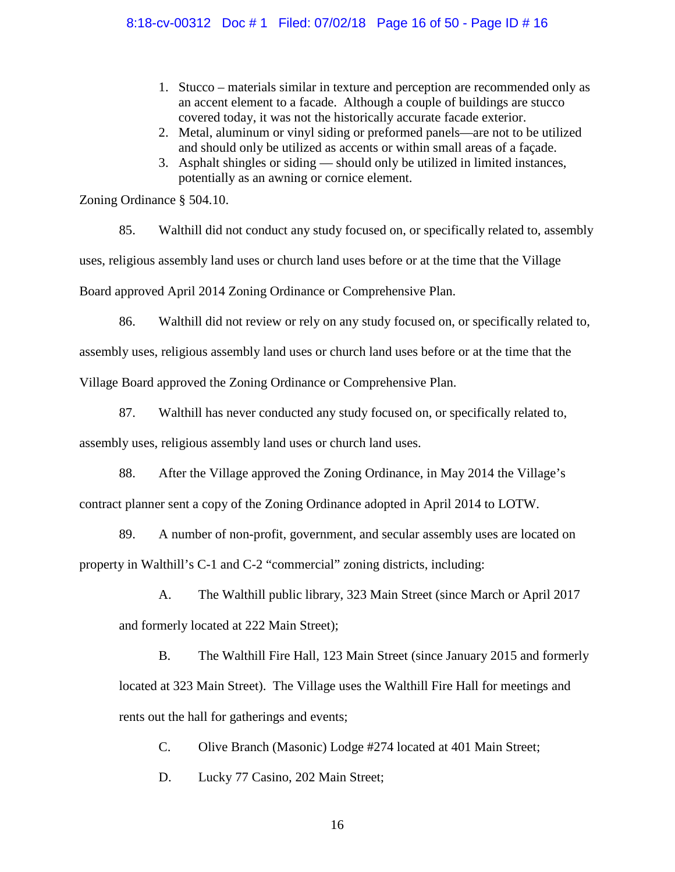### 8:18-cv-00312 Doc # 1 Filed: 07/02/18 Page 16 of 50 - Page ID # 16

- 1. Stucco materials similar in texture and perception are recommended only as an accent element to a facade. Although a couple of buildings are stucco covered today, it was not the historically accurate facade exterior.
- 2. Metal, aluminum or vinyl siding or preformed panels—are not to be utilized and should only be utilized as accents or within small areas of a façade.
- 3. Asphalt shingles or siding should only be utilized in limited instances, potentially as an awning or cornice element.

Zoning Ordinance § 504.10.

85. Walthill did not conduct any study focused on, or specifically related to, assembly uses, religious assembly land uses or church land uses before or at the time that the Village Board approved April 2014 Zoning Ordinance or Comprehensive Plan.

86. Walthill did not review or rely on any study focused on, or specifically related to, assembly uses, religious assembly land uses or church land uses before or at the time that the Village Board approved the Zoning Ordinance or Comprehensive Plan.

87. Walthill has never conducted any study focused on, or specifically related to,

assembly uses, religious assembly land uses or church land uses.

88. After the Village approved the Zoning Ordinance, in May 2014 the Village's contract planner sent a copy of the Zoning Ordinance adopted in April 2014 to LOTW.

89. A number of non-profit, government, and secular assembly uses are located on property in Walthill's C-1 and C-2 "commercial" zoning districts, including:

A. The Walthill public library, 323 Main Street (since March or April 2017 and formerly located at 222 Main Street);

B. The Walthill Fire Hall, 123 Main Street (since January 2015 and formerly located at 323 Main Street). The Village uses the Walthill Fire Hall for meetings and rents out the hall for gatherings and events;

C. Olive Branch (Masonic) Lodge #274 located at 401 Main Street;

D. Lucky 77 Casino, 202 Main Street;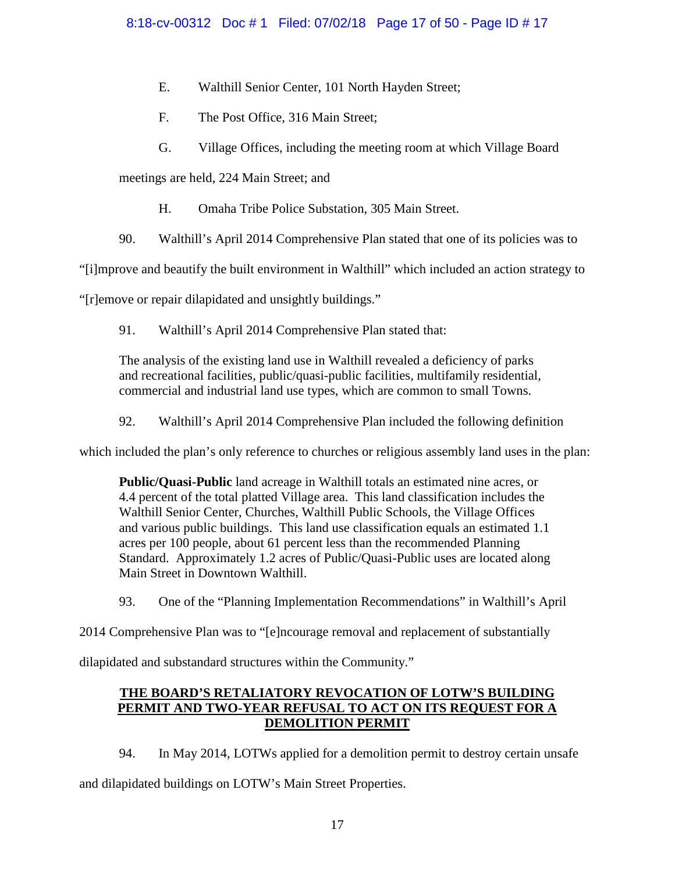- E. Walthill Senior Center, 101 North Hayden Street;
- F. The Post Office, 316 Main Street;
- G. Village Offices, including the meeting room at which Village Board

meetings are held, 224 Main Street; and

- H. Omaha Tribe Police Substation, 305 Main Street.
- 90. Walthill's April 2014 Comprehensive Plan stated that one of its policies was to

"[i]mprove and beautify the built environment in Walthill" which included an action strategy to

"[r]emove or repair dilapidated and unsightly buildings."

91. Walthill's April 2014 Comprehensive Plan stated that:

The analysis of the existing land use in Walthill revealed a deficiency of parks and recreational facilities, public/quasi-public facilities, multifamily residential, commercial and industrial land use types, which are common to small Towns.

92. Walthill's April 2014 Comprehensive Plan included the following definition

which included the plan's only reference to churches or religious assembly land uses in the plan:

**Public/Quasi-Public** land acreage in Walthill totals an estimated nine acres, or 4.4 percent of the total platted Village area. This land classification includes the Walthill Senior Center, Churches, Walthill Public Schools, the Village Offices and various public buildings. This land use classification equals an estimated 1.1 acres per 100 people, about 61 percent less than the recommended Planning Standard. Approximately 1.2 acres of Public/Quasi-Public uses are located along Main Street in Downtown Walthill.

93. One of the "Planning Implementation Recommendations" in Walthill's April

2014 Comprehensive Plan was to "[e]ncourage removal and replacement of substantially

dilapidated and substandard structures within the Community."

## **THE BOARD'S RETALIATORY REVOCATION OF LOTW'S BUILDING PERMIT AND TWO-YEAR REFUSAL TO ACT ON ITS REQUEST FOR A DEMOLITION PERMIT**

94. In May 2014, LOTWs applied for a demolition permit to destroy certain unsafe and dilapidated buildings on LOTW's Main Street Properties.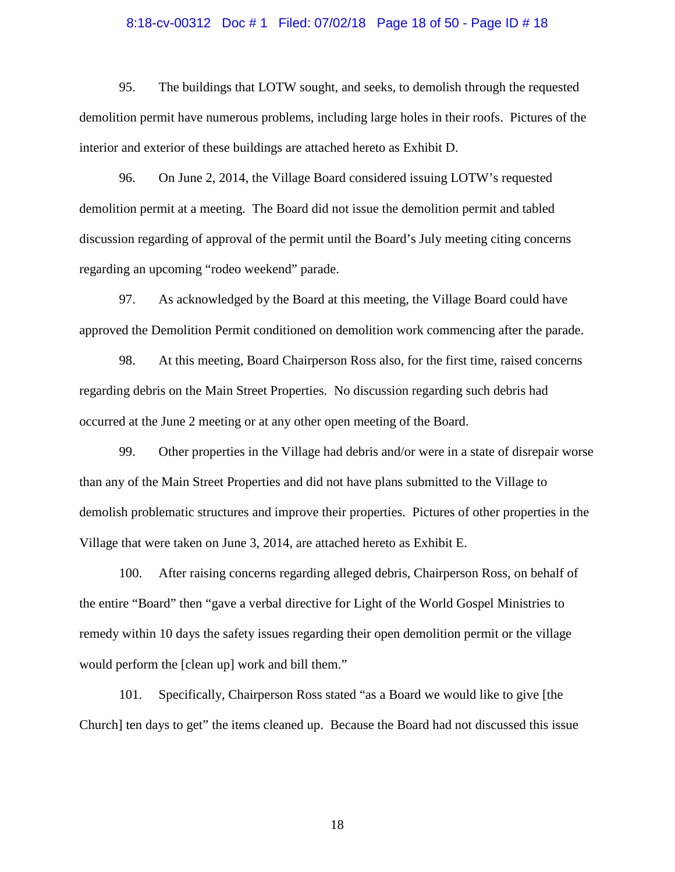# 8:18-cv-00312 Doc # 1 Filed: 07/02/18 Page 18 of 50 - Page ID # 18

95. The buildings that LOTW sought, and seeks, to demolish through the requested demolition permit have numerous problems, including large holes in their roofs. Pictures of the interior and exterior of these buildings are attached hereto as Exhibit D.

96. On June 2, 2014, the Village Board considered issuing LOTW's requested demolition permit at a meeting. The Board did not issue the demolition permit and tabled discussion regarding of approval of the permit until the Board's July meeting citing concerns regarding an upcoming "rodeo weekend" parade.

97. As acknowledged by the Board at this meeting, the Village Board could have approved the Demolition Permit conditioned on demolition work commencing after the parade.

98. At this meeting, Board Chairperson Ross also, for the first time, raised concerns regarding debris on the Main Street Properties. No discussion regarding such debris had occurred at the June 2 meeting or at any other open meeting of the Board.

99. Other properties in the Village had debris and/or were in a state of disrepair worse than any of the Main Street Properties and did not have plans submitted to the Village to demolish problematic structures and improve their properties. Pictures of other properties in the Village that were taken on June 3, 2014, are attached hereto as Exhibit E.

100. After raising concerns regarding alleged debris, Chairperson Ross, on behalf of the entire "Board" then "gave a verbal directive for Light of the World Gospel Ministries to remedy within 10 days the safety issues regarding their open demolition permit or the village would perform the [clean up] work and bill them."

101. Specifically, Chairperson Ross stated "as a Board we would like to give [the Church] ten days to get" the items cleaned up. Because the Board had not discussed this issue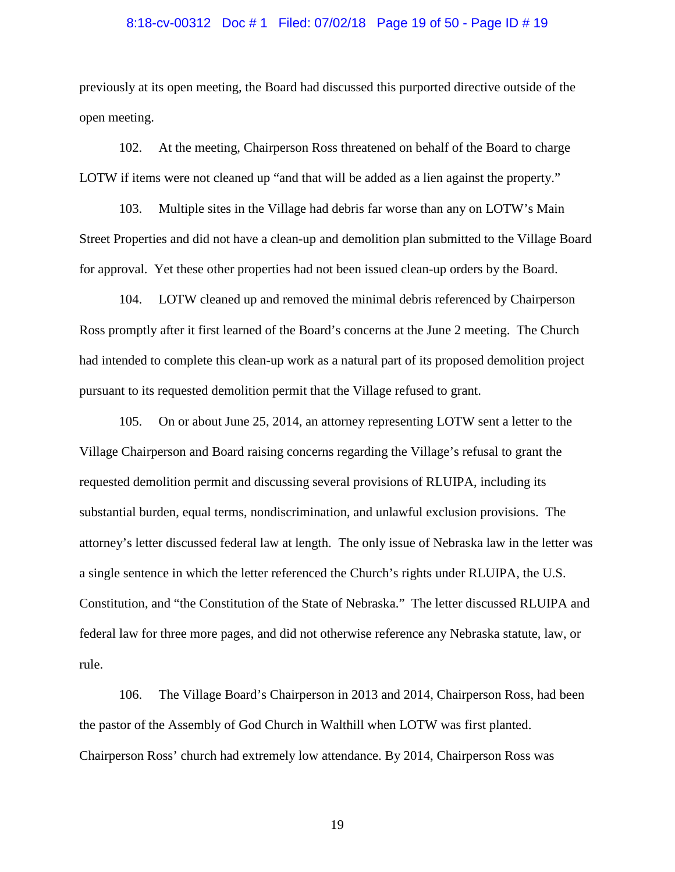# 8:18-cv-00312 Doc # 1 Filed: 07/02/18 Page 19 of 50 - Page ID # 19

previously at its open meeting, the Board had discussed this purported directive outside of the open meeting.

102. At the meeting, Chairperson Ross threatened on behalf of the Board to charge LOTW if items were not cleaned up "and that will be added as a lien against the property."

103. Multiple sites in the Village had debris far worse than any on LOTW's Main Street Properties and did not have a clean-up and demolition plan submitted to the Village Board for approval. Yet these other properties had not been issued clean-up orders by the Board.

104. LOTW cleaned up and removed the minimal debris referenced by Chairperson Ross promptly after it first learned of the Board's concerns at the June 2 meeting. The Church had intended to complete this clean-up work as a natural part of its proposed demolition project pursuant to its requested demolition permit that the Village refused to grant.

105. On or about June 25, 2014, an attorney representing LOTW sent a letter to the Village Chairperson and Board raising concerns regarding the Village's refusal to grant the requested demolition permit and discussing several provisions of RLUIPA, including its substantial burden, equal terms, nondiscrimination, and unlawful exclusion provisions. The attorney's letter discussed federal law at length. The only issue of Nebraska law in the letter was a single sentence in which the letter referenced the Church's rights under RLUIPA, the U.S. Constitution, and "the Constitution of the State of Nebraska." The letter discussed RLUIPA and federal law for three more pages, and did not otherwise reference any Nebraska statute, law, or rule.

106. The Village Board's Chairperson in 2013 and 2014, Chairperson Ross, had been the pastor of the Assembly of God Church in Walthill when LOTW was first planted. Chairperson Ross' church had extremely low attendance. By 2014, Chairperson Ross was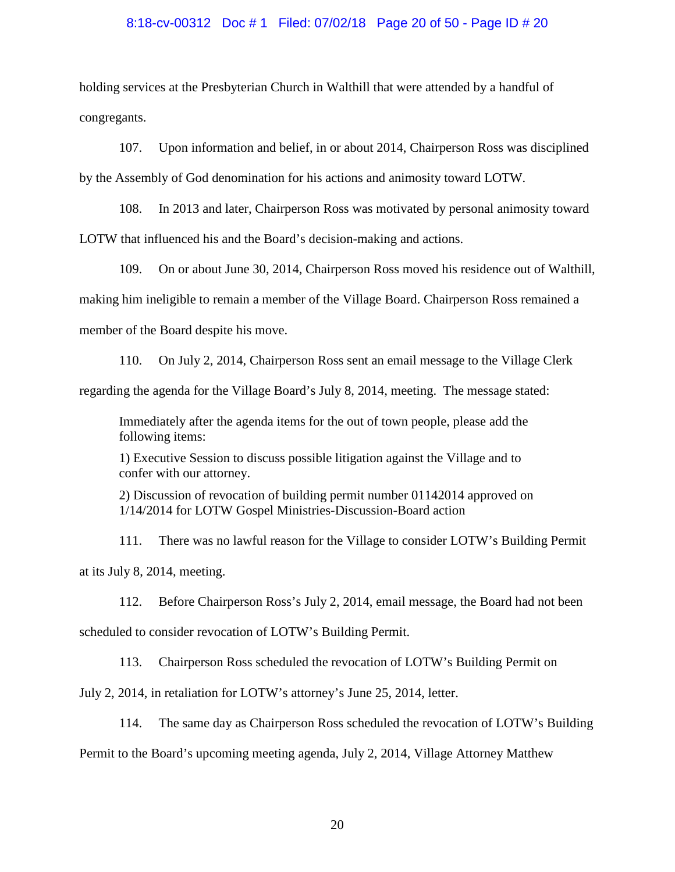#### 8:18-cv-00312 Doc # 1 Filed: 07/02/18 Page 20 of 50 - Page ID # 20

holding services at the Presbyterian Church in Walthill that were attended by a handful of congregants.

107. Upon information and belief, in or about 2014, Chairperson Ross was disciplined

by the Assembly of God denomination for his actions and animosity toward LOTW.

108. In 2013 and later, Chairperson Ross was motivated by personal animosity toward

LOTW that influenced his and the Board's decision-making and actions.

109. On or about June 30, 2014, Chairperson Ross moved his residence out of Walthill, making him ineligible to remain a member of the Village Board. Chairperson Ross remained a member of the Board despite his move.

110. On July 2, 2014, Chairperson Ross sent an email message to the Village Clerk

regarding the agenda for the Village Board's July 8, 2014, meeting. The message stated:

Immediately after the agenda items for the out of town people, please add the following items:

1) Executive Session to discuss possible litigation against the Village and to confer with our attorney.

2) Discussion of revocation of building permit number 01142014 approved on 1/14/2014 for LOTW Gospel Ministries-Discussion-Board action

111. There was no lawful reason for the Village to consider LOTW's Building Permit at its July 8, 2014, meeting.

112. Before Chairperson Ross's July 2, 2014, email message, the Board had not been scheduled to consider revocation of LOTW's Building Permit.

113. Chairperson Ross scheduled the revocation of LOTW's Building Permit on

July 2, 2014, in retaliation for LOTW's attorney's June 25, 2014, letter.

114. The same day as Chairperson Ross scheduled the revocation of LOTW's Building

Permit to the Board's upcoming meeting agenda, July 2, 2014, Village Attorney Matthew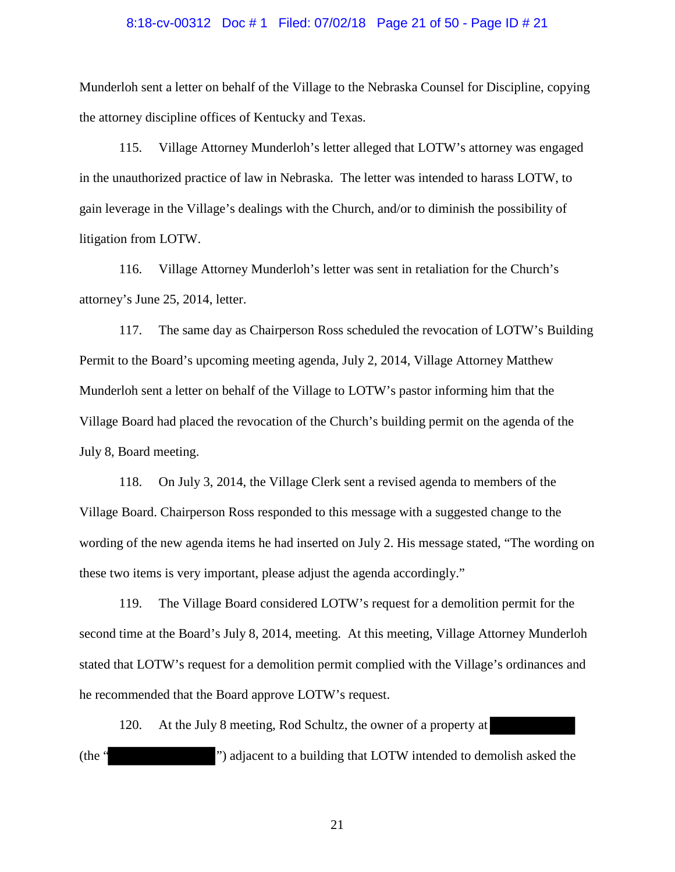# 8:18-cv-00312 Doc # 1 Filed: 07/02/18 Page 21 of 50 - Page ID # 21

Munderloh sent a letter on behalf of the Village to the Nebraska Counsel for Discipline, copying the attorney discipline offices of Kentucky and Texas.

115. Village Attorney Munderloh's letter alleged that LOTW's attorney was engaged in the unauthorized practice of law in Nebraska. The letter was intended to harass LOTW, to gain leverage in the Village's dealings with the Church, and/or to diminish the possibility of litigation from LOTW.

116. Village Attorney Munderloh's letter was sent in retaliation for the Church's attorney's June 25, 2014, letter.

117. The same day as Chairperson Ross scheduled the revocation of LOTW's Building Permit to the Board's upcoming meeting agenda, July 2, 2014, Village Attorney Matthew Munderloh sent a letter on behalf of the Village to LOTW's pastor informing him that the Village Board had placed the revocation of the Church's building permit on the agenda of the July 8, Board meeting.

118. On July 3, 2014, the Village Clerk sent a revised agenda to members of the Village Board. Chairperson Ross responded to this message with a suggested change to the wording of the new agenda items he had inserted on July 2. His message stated, "The wording on these two items is very important, please adjust the agenda accordingly."

119. The Village Board considered LOTW's request for a demolition permit for the second time at the Board's July 8, 2014, meeting. At this meeting, Village Attorney Munderloh stated that LOTW's request for a demolition permit complied with the Village's ordinances and he recommended that the Board approve LOTW's request.

120. At the July 8 meeting, Rod Schultz, the owner of a property at (the " ") adjacent to a building that LOTW intended to demolish asked the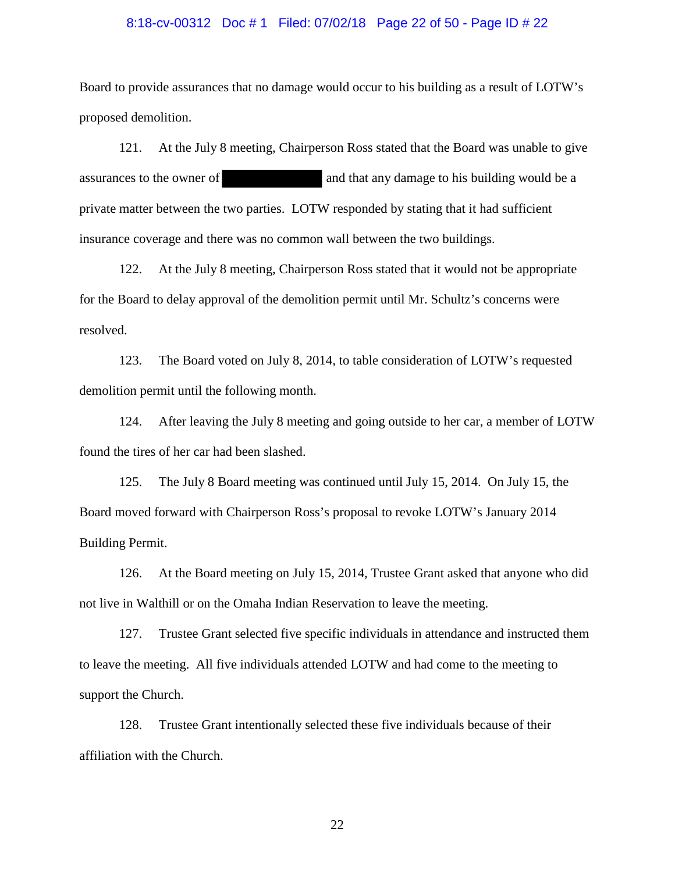#### 8:18-cv-00312 Doc # 1 Filed: 07/02/18 Page 22 of 50 - Page ID # 22

Board to provide assurances that no damage would occur to his building as a result of LOTW's proposed demolition.

121. At the July 8 meeting, Chairperson Ross stated that the Board was unable to give assurances to the owner of and that any damage to his building would be a private matter between the two parties. LOTW responded by stating that it had sufficient insurance coverage and there was no common wall between the two buildings.

122. At the July 8 meeting, Chairperson Ross stated that it would not be appropriate for the Board to delay approval of the demolition permit until Mr. Schultz's concerns were resolved.

123. The Board voted on July 8, 2014, to table consideration of LOTW's requested demolition permit until the following month.

124. After leaving the July 8 meeting and going outside to her car, a member of LOTW found the tires of her car had been slashed.

125. The July 8 Board meeting was continued until July 15, 2014. On July 15, the Board moved forward with Chairperson Ross's proposal to revoke LOTW's January 2014 Building Permit.

126. At the Board meeting on July 15, 2014, Trustee Grant asked that anyone who did not live in Walthill or on the Omaha Indian Reservation to leave the meeting.

127. Trustee Grant selected five specific individuals in attendance and instructed them to leave the meeting. All five individuals attended LOTW and had come to the meeting to support the Church.

128. Trustee Grant intentionally selected these five individuals because of their affiliation with the Church.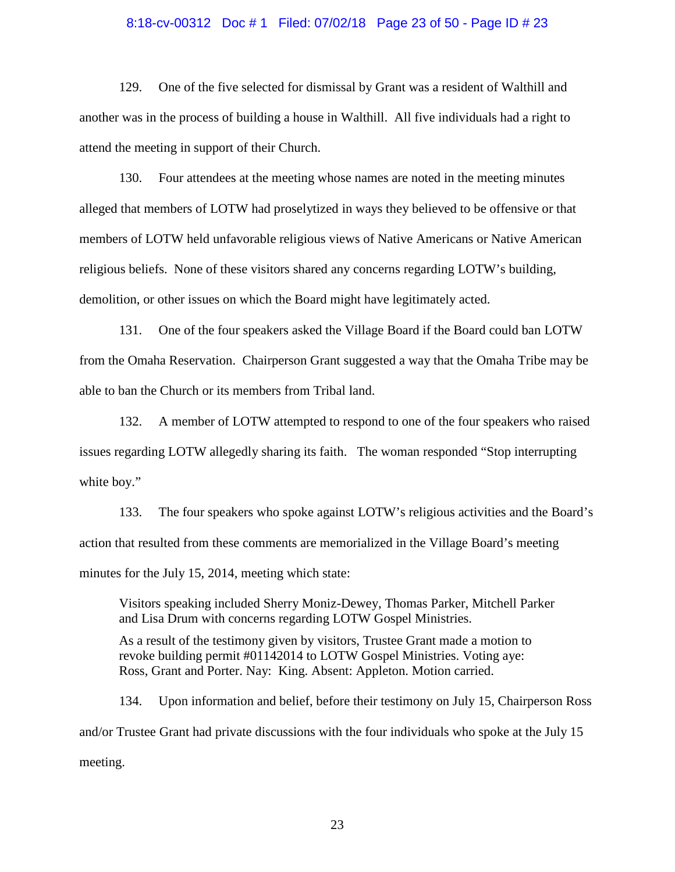# 8:18-cv-00312 Doc # 1 Filed: 07/02/18 Page 23 of 50 - Page ID # 23

129. One of the five selected for dismissal by Grant was a resident of Walthill and another was in the process of building a house in Walthill. All five individuals had a right to attend the meeting in support of their Church.

130. Four attendees at the meeting whose names are noted in the meeting minutes alleged that members of LOTW had proselytized in ways they believed to be offensive or that members of LOTW held unfavorable religious views of Native Americans or Native American religious beliefs. None of these visitors shared any concerns regarding LOTW's building, demolition, or other issues on which the Board might have legitimately acted.

131. One of the four speakers asked the Village Board if the Board could ban LOTW from the Omaha Reservation. Chairperson Grant suggested a way that the Omaha Tribe may be able to ban the Church or its members from Tribal land.

132. A member of LOTW attempted to respond to one of the four speakers who raised issues regarding LOTW allegedly sharing its faith. The woman responded "Stop interrupting white boy."

133. The four speakers who spoke against LOTW's religious activities and the Board's action that resulted from these comments are memorialized in the Village Board's meeting minutes for the July 15, 2014, meeting which state:

Visitors speaking included Sherry Moniz-Dewey, Thomas Parker, Mitchell Parker and Lisa Drum with concerns regarding LOTW Gospel Ministries.

As a result of the testimony given by visitors, Trustee Grant made a motion to revoke building permit #01142014 to LOTW Gospel Ministries. Voting aye: Ross, Grant and Porter. Nay: King. Absent: Appleton. Motion carried.

134. Upon information and belief, before their testimony on July 15, Chairperson Ross and/or Trustee Grant had private discussions with the four individuals who spoke at the July 15 meeting.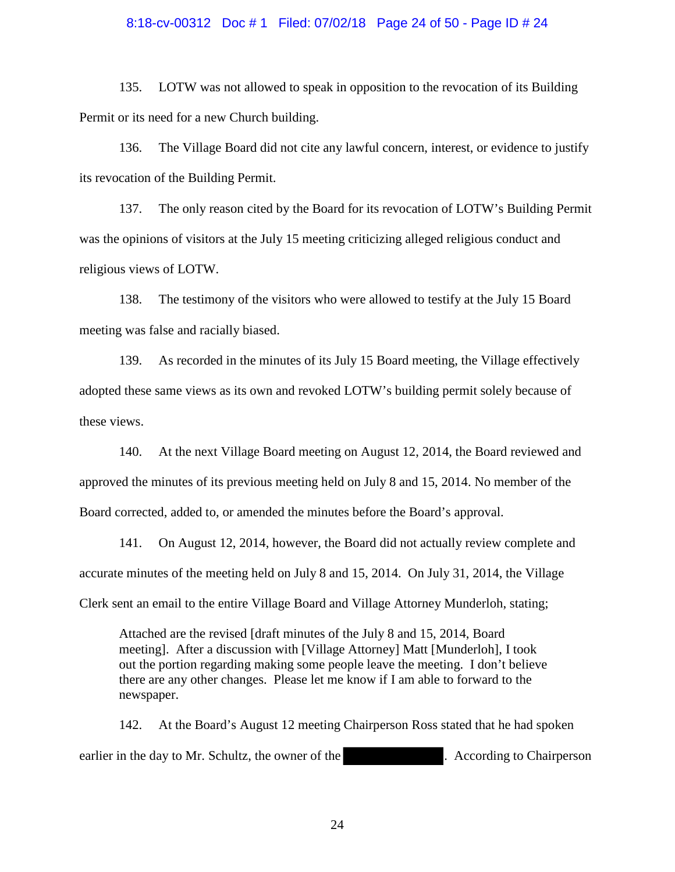# 8:18-cv-00312 Doc # 1 Filed: 07/02/18 Page 24 of 50 - Page ID # 24

135. LOTW was not allowed to speak in opposition to the revocation of its Building Permit or its need for a new Church building.

136. The Village Board did not cite any lawful concern, interest, or evidence to justify its revocation of the Building Permit.

137. The only reason cited by the Board for its revocation of LOTW's Building Permit was the opinions of visitors at the July 15 meeting criticizing alleged religious conduct and religious views of LOTW.

138. The testimony of the visitors who were allowed to testify at the July 15 Board meeting was false and racially biased.

139. As recorded in the minutes of its July 15 Board meeting, the Village effectively adopted these same views as its own and revoked LOTW's building permit solely because of these views.

140. At the next Village Board meeting on August 12, 2014, the Board reviewed and approved the minutes of its previous meeting held on July 8 and 15, 2014. No member of the Board corrected, added to, or amended the minutes before the Board's approval.

141. On August 12, 2014, however, the Board did not actually review complete and accurate minutes of the meeting held on July 8 and 15, 2014. On July 31, 2014, the Village Clerk sent an email to the entire Village Board and Village Attorney Munderloh, stating;

Attached are the revised [draft minutes of the July 8 and 15, 2014, Board meeting]. After a discussion with [Village Attorney] Matt [Munderloh], I took out the portion regarding making some people leave the meeting. I don't believe there are any other changes. Please let me know if I am able to forward to the newspaper.

142. At the Board's August 12 meeting Chairperson Ross stated that he had spoken earlier in the day to Mr. Schultz, the owner of the . According to Chairperson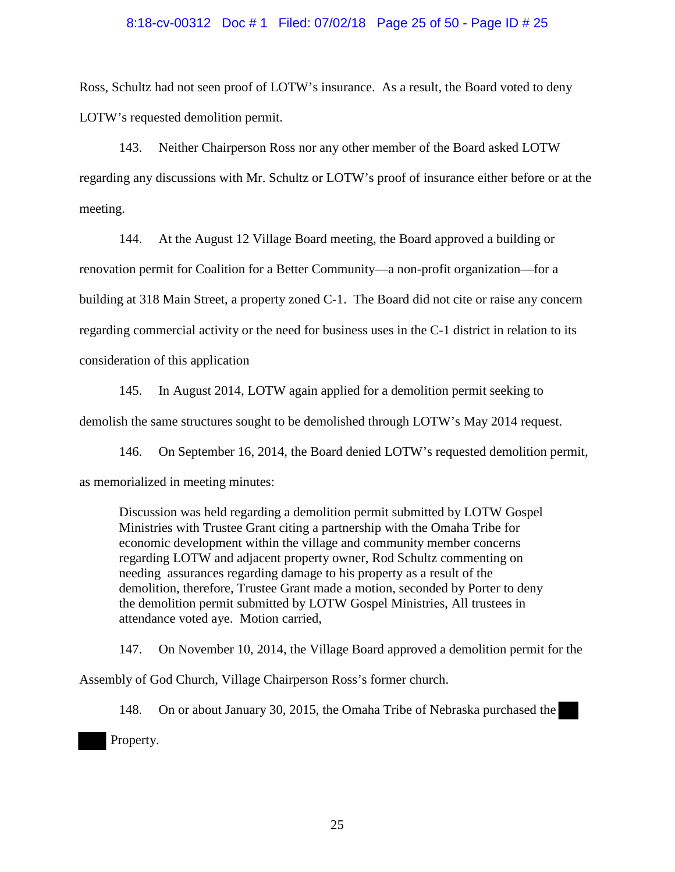# 8:18-cv-00312 Doc # 1 Filed: 07/02/18 Page 25 of 50 - Page ID # 25

Ross, Schultz had not seen proof of LOTW's insurance. As a result, the Board voted to deny LOTW's requested demolition permit.

143. Neither Chairperson Ross nor any other member of the Board asked LOTW regarding any discussions with Mr. Schultz or LOTW's proof of insurance either before or at the meeting.

144. At the August 12 Village Board meeting, the Board approved a building or renovation permit for Coalition for a Better Community—a non-profit organization—for a building at 318 Main Street, a property zoned C-1. The Board did not cite or raise any concern regarding commercial activity or the need for business uses in the C-1 district in relation to its consideration of this application

145. In August 2014, LOTW again applied for a demolition permit seeking to demolish the same structures sought to be demolished through LOTW's May 2014 request.

146. On September 16, 2014, the Board denied LOTW's requested demolition permit, as memorialized in meeting minutes:

Discussion was held regarding a demolition permit submitted by LOTW Gospel Ministries with Trustee Grant citing a partnership with the Omaha Tribe for economic development within the village and community member concerns regarding LOTW and adjacent property owner, Rod Schultz commenting on needing assurances regarding damage to his property as a result of the demolition, therefore, Trustee Grant made a motion, seconded by Porter to deny the demolition permit submitted by LOTW Gospel Ministries, All trustees in attendance voted aye. Motion carried,

147. On November 10, 2014, the Village Board approved a demolition permit for the Assembly of God Church, Village Chairperson Ross's former church.

148. On or about January 30, 2015, the Omaha Tribe of Nebraska purchased the Property.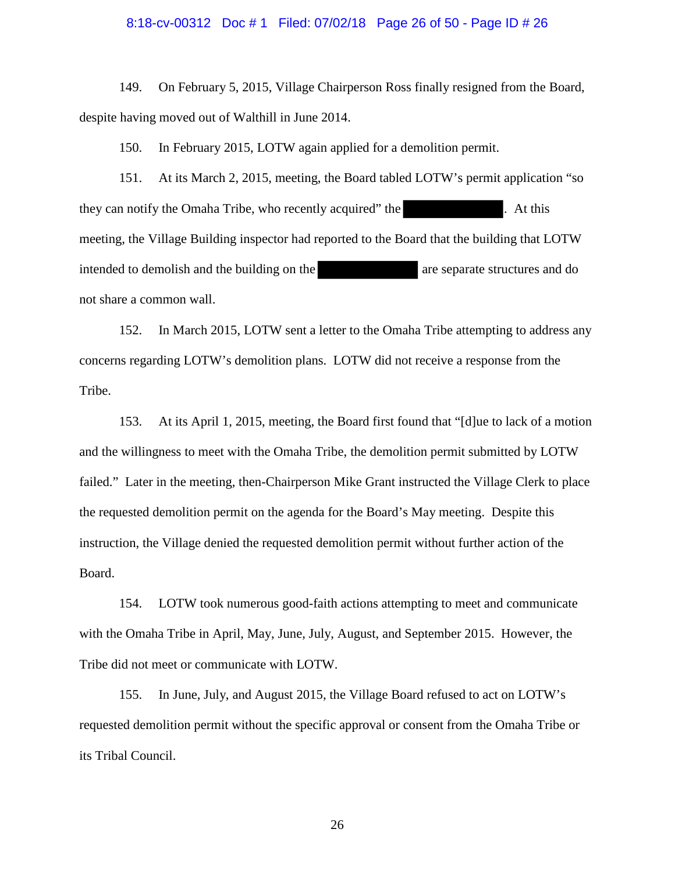# 8:18-cv-00312 Doc # 1 Filed: 07/02/18 Page 26 of 50 - Page ID # 26

149. On February 5, 2015, Village Chairperson Ross finally resigned from the Board, despite having moved out of Walthill in June 2014.

150. In February 2015, LOTW again applied for a demolition permit.

151. At its March 2, 2015, meeting, the Board tabled LOTW's permit application "so they can notify the Omaha Tribe, who recently acquired" the . At this meeting, the Village Building inspector had reported to the Board that the building that LOTW intended to demolish and the building on the are separate structures and do not share a common wall.

152. In March 2015, LOTW sent a letter to the Omaha Tribe attempting to address any concerns regarding LOTW's demolition plans. LOTW did not receive a response from the Tribe.

153. At its April 1, 2015, meeting, the Board first found that "[d]ue to lack of a motion and the willingness to meet with the Omaha Tribe, the demolition permit submitted by LOTW failed." Later in the meeting, then-Chairperson Mike Grant instructed the Village Clerk to place the requested demolition permit on the agenda for the Board's May meeting. Despite this instruction, the Village denied the requested demolition permit without further action of the Board.

154. LOTW took numerous good-faith actions attempting to meet and communicate with the Omaha Tribe in April, May, June, July, August, and September 2015. However, the Tribe did not meet or communicate with LOTW.

155. In June, July, and August 2015, the Village Board refused to act on LOTW's requested demolition permit without the specific approval or consent from the Omaha Tribe or its Tribal Council.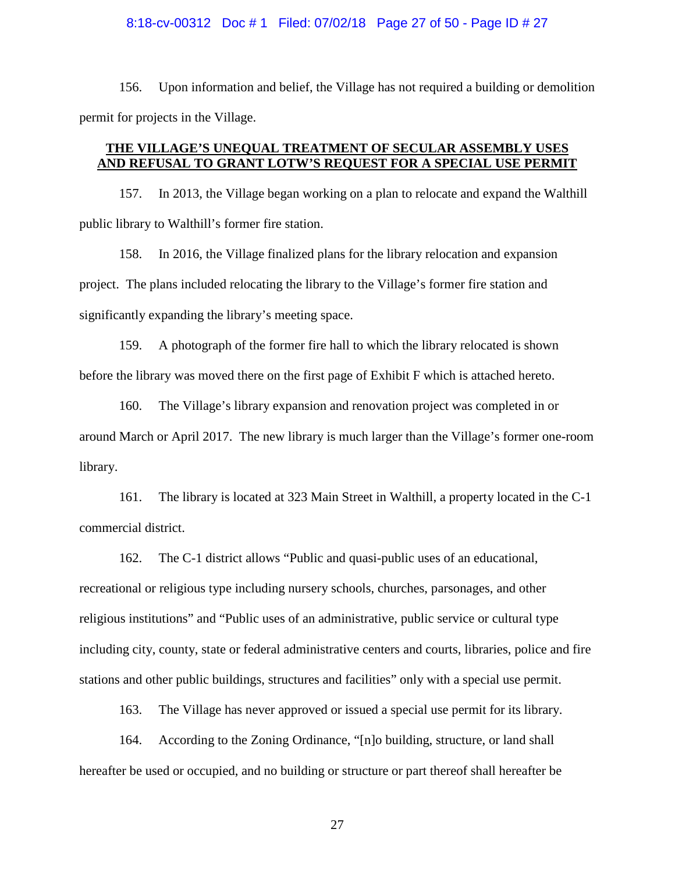#### 8:18-cv-00312 Doc # 1 Filed: 07/02/18 Page 27 of 50 - Page ID # 27

156. Upon information and belief, the Village has not required a building or demolition permit for projects in the Village.

### **THE VILLAGE'S UNEQUAL TREATMENT OF SECULAR ASSEMBLY USES AND REFUSAL TO GRANT LOTW'S REQUEST FOR A SPECIAL USE PERMIT**

157. In 2013, the Village began working on a plan to relocate and expand the Walthill public library to Walthill's former fire station.

158. In 2016, the Village finalized plans for the library relocation and expansion project. The plans included relocating the library to the Village's former fire station and significantly expanding the library's meeting space.

159. A photograph of the former fire hall to which the library relocated is shown before the library was moved there on the first page of Exhibit F which is attached hereto.

160. The Village's library expansion and renovation project was completed in or around March or April 2017. The new library is much larger than the Village's former one-room library.

161. The library is located at 323 Main Street in Walthill, a property located in the C-1 commercial district.

162. The C-1 district allows "Public and quasi-public uses of an educational, recreational or religious type including nursery schools, churches, parsonages, and other religious institutions" and "Public uses of an administrative, public service or cultural type including city, county, state or federal administrative centers and courts, libraries, police and fire stations and other public buildings, structures and facilities" only with a special use permit.

163. The Village has never approved or issued a special use permit for its library.

164. According to the Zoning Ordinance, "[n]o building, structure, or land shall hereafter be used or occupied, and no building or structure or part thereof shall hereafter be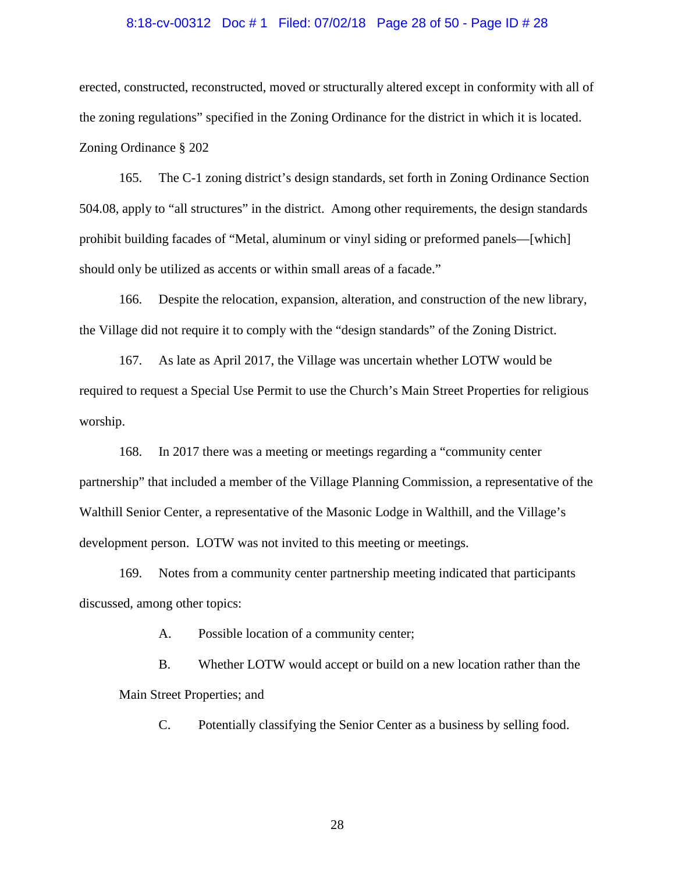# 8:18-cv-00312 Doc # 1 Filed: 07/02/18 Page 28 of 50 - Page ID # 28

erected, constructed, reconstructed, moved or structurally altered except in conformity with all of the zoning regulations" specified in the Zoning Ordinance for the district in which it is located. Zoning Ordinance § 202

165. The C-1 zoning district's design standards, set forth in Zoning Ordinance Section 504.08, apply to "all structures" in the district. Among other requirements, the design standards prohibit building facades of "Metal, aluminum or vinyl siding or preformed panels—[which] should only be utilized as accents or within small areas of a facade."

166. Despite the relocation, expansion, alteration, and construction of the new library, the Village did not require it to comply with the "design standards" of the Zoning District.

167. As late as April 2017, the Village was uncertain whether LOTW would be required to request a Special Use Permit to use the Church's Main Street Properties for religious worship.

168. In 2017 there was a meeting or meetings regarding a "community center partnership" that included a member of the Village Planning Commission, a representative of the Walthill Senior Center, a representative of the Masonic Lodge in Walthill, and the Village's development person. LOTW was not invited to this meeting or meetings.

169. Notes from a community center partnership meeting indicated that participants discussed, among other topics:

A. Possible location of a community center;

B. Whether LOTW would accept or build on a new location rather than the Main Street Properties; and

C. Potentially classifying the Senior Center as a business by selling food.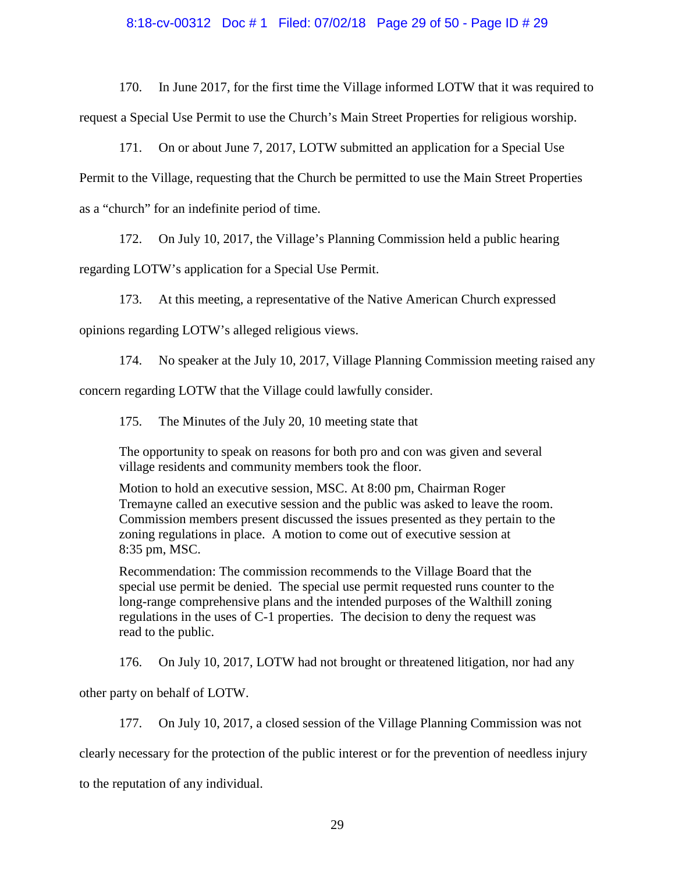# 8:18-cv-00312 Doc # 1 Filed: 07/02/18 Page 29 of 50 - Page ID # 29

170. In June 2017, for the first time the Village informed LOTW that it was required to request a Special Use Permit to use the Church's Main Street Properties for religious worship.

171. On or about June 7, 2017, LOTW submitted an application for a Special Use Permit to the Village, requesting that the Church be permitted to use the Main Street Properties as a "church" for an indefinite period of time.

172. On July 10, 2017, the Village's Planning Commission held a public hearing regarding LOTW's application for a Special Use Permit.

173. At this meeting, a representative of the Native American Church expressed opinions regarding LOTW's alleged religious views.

174. No speaker at the July 10, 2017, Village Planning Commission meeting raised any concern regarding LOTW that the Village could lawfully consider.

175. The Minutes of the July 20, 10 meeting state that

The opportunity to speak on reasons for both pro and con was given and several village residents and community members took the floor.

Motion to hold an executive session, MSC. At 8:00 pm, Chairman Roger Tremayne called an executive session and the public was asked to leave the room. Commission members present discussed the issues presented as they pertain to the zoning regulations in place. A motion to come out of executive session at 8:35 pm, MSC.

Recommendation: The commission recommends to the Village Board that the special use permit be denied. The special use permit requested runs counter to the long-range comprehensive plans and the intended purposes of the Walthill zoning regulations in the uses of C-1 properties. The decision to deny the request was read to the public.

176. On July 10, 2017, LOTW had not brought or threatened litigation, nor had any

other party on behalf of LOTW.

177. On July 10, 2017, a closed session of the Village Planning Commission was not clearly necessary for the protection of the public interest or for the prevention of needless injury to the reputation of any individual.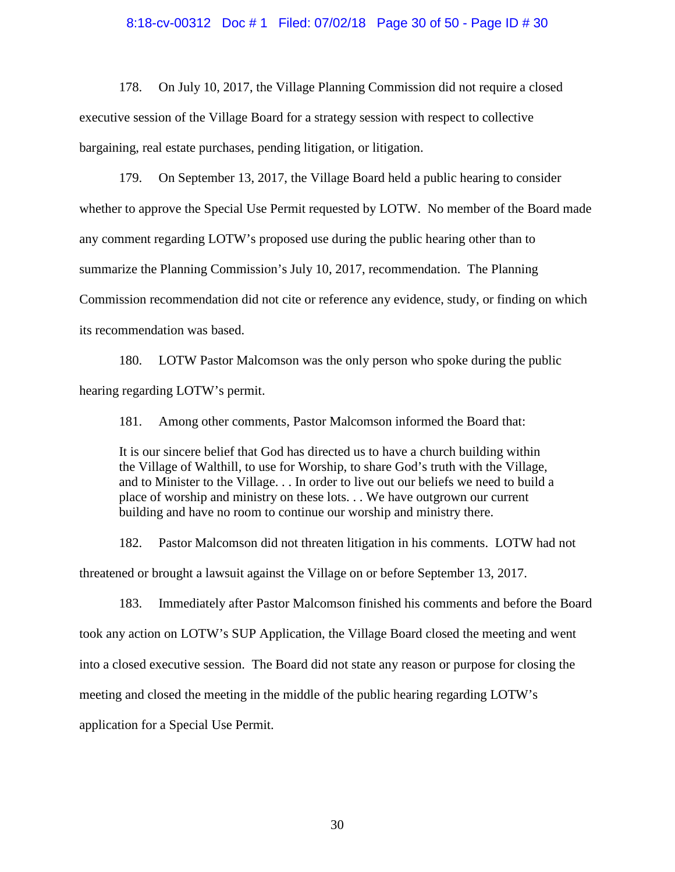# 8:18-cv-00312 Doc # 1 Filed: 07/02/18 Page 30 of 50 - Page ID # 30

178. On July 10, 2017, the Village Planning Commission did not require a closed executive session of the Village Board for a strategy session with respect to collective bargaining, real estate purchases, pending litigation, or litigation.

179. On September 13, 2017, the Village Board held a public hearing to consider whether to approve the Special Use Permit requested by LOTW. No member of the Board made any comment regarding LOTW's proposed use during the public hearing other than to summarize the Planning Commission's July 10, 2017, recommendation. The Planning Commission recommendation did not cite or reference any evidence, study, or finding on which its recommendation was based.

180. LOTW Pastor Malcomson was the only person who spoke during the public hearing regarding LOTW's permit.

181. Among other comments, Pastor Malcomson informed the Board that:

It is our sincere belief that God has directed us to have a church building within the Village of Walthill, to use for Worship, to share God's truth with the Village, and to Minister to the Village. . . In order to live out our beliefs we need to build a place of worship and ministry on these lots. . . We have outgrown our current building and have no room to continue our worship and ministry there.

182. Pastor Malcomson did not threaten litigation in his comments. LOTW had not threatened or brought a lawsuit against the Village on or before September 13, 2017.

183. Immediately after Pastor Malcomson finished his comments and before the Board took any action on LOTW's SUP Application, the Village Board closed the meeting and went into a closed executive session. The Board did not state any reason or purpose for closing the meeting and closed the meeting in the middle of the public hearing regarding LOTW's application for a Special Use Permit.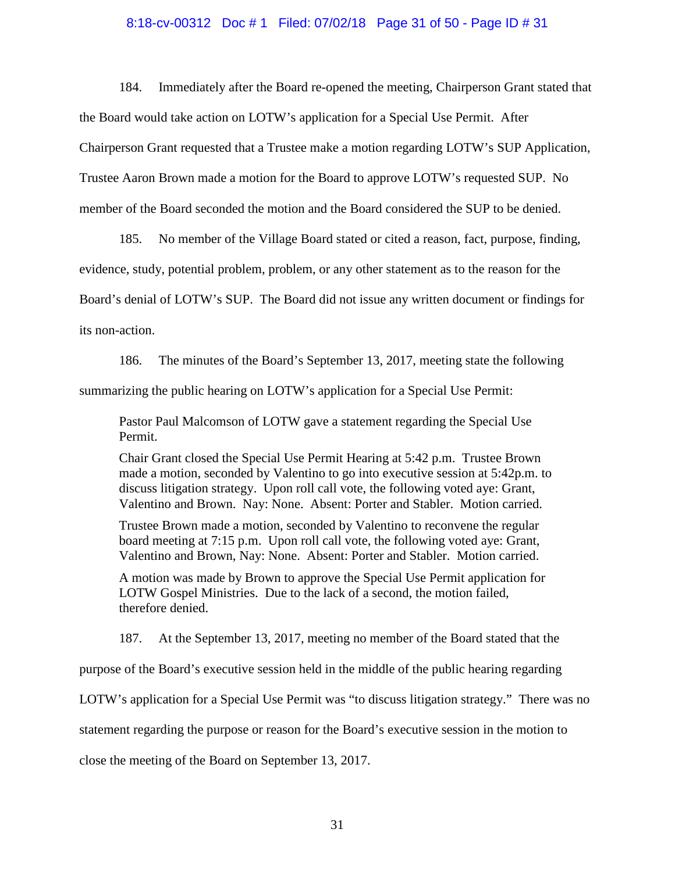# 8:18-cv-00312 Doc # 1 Filed: 07/02/18 Page 31 of 50 - Page ID # 31

184. Immediately after the Board re-opened the meeting, Chairperson Grant stated that the Board would take action on LOTW's application for a Special Use Permit. After Chairperson Grant requested that a Trustee make a motion regarding LOTW's SUP Application, Trustee Aaron Brown made a motion for the Board to approve LOTW's requested SUP. No member of the Board seconded the motion and the Board considered the SUP to be denied.

185. No member of the Village Board stated or cited a reason, fact, purpose, finding, evidence, study, potential problem, problem, or any other statement as to the reason for the Board's denial of LOTW's SUP. The Board did not issue any written document or findings for its non-action.

186. The minutes of the Board's September 13, 2017, meeting state the following summarizing the public hearing on LOTW's application for a Special Use Permit:

Pastor Paul Malcomson of LOTW gave a statement regarding the Special Use Permit.

Chair Grant closed the Special Use Permit Hearing at 5:42 p.m. Trustee Brown made a motion, seconded by Valentino to go into executive session at 5:42p.m. to discuss litigation strategy. Upon roll call vote, the following voted aye: Grant, Valentino and Brown. Nay: None. Absent: Porter and Stabler. Motion carried.

Trustee Brown made a motion, seconded by Valentino to reconvene the regular board meeting at 7:15 p.m. Upon roll call vote, the following voted aye: Grant, Valentino and Brown, Nay: None. Absent: Porter and Stabler. Motion carried.

A motion was made by Brown to approve the Special Use Permit application for LOTW Gospel Ministries. Due to the lack of a second, the motion failed, therefore denied.

187. At the September 13, 2017, meeting no member of the Board stated that the

purpose of the Board's executive session held in the middle of the public hearing regarding

LOTW's application for a Special Use Permit was "to discuss litigation strategy." There was no

statement regarding the purpose or reason for the Board's executive session in the motion to

close the meeting of the Board on September 13, 2017.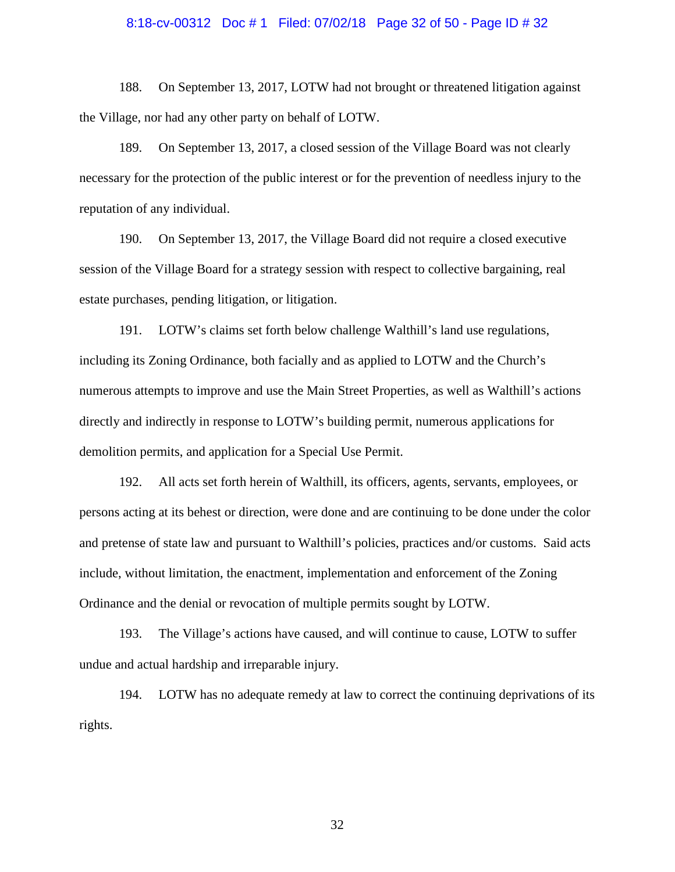# 8:18-cv-00312 Doc # 1 Filed: 07/02/18 Page 32 of 50 - Page ID # 32

188. On September 13, 2017, LOTW had not brought or threatened litigation against the Village, nor had any other party on behalf of LOTW.

189. On September 13, 2017, a closed session of the Village Board was not clearly necessary for the protection of the public interest or for the prevention of needless injury to the reputation of any individual.

190. On September 13, 2017, the Village Board did not require a closed executive session of the Village Board for a strategy session with respect to collective bargaining, real estate purchases, pending litigation, or litigation.

191. LOTW's claims set forth below challenge Walthill's land use regulations, including its Zoning Ordinance, both facially and as applied to LOTW and the Church's numerous attempts to improve and use the Main Street Properties, as well as Walthill's actions directly and indirectly in response to LOTW's building permit, numerous applications for demolition permits, and application for a Special Use Permit.

192. All acts set forth herein of Walthill, its officers, agents, servants, employees, or persons acting at its behest or direction, were done and are continuing to be done under the color and pretense of state law and pursuant to Walthill's policies, practices and/or customs. Said acts include, without limitation, the enactment, implementation and enforcement of the Zoning Ordinance and the denial or revocation of multiple permits sought by LOTW.

193. The Village's actions have caused, and will continue to cause, LOTW to suffer undue and actual hardship and irreparable injury.

194. LOTW has no adequate remedy at law to correct the continuing deprivations of its rights.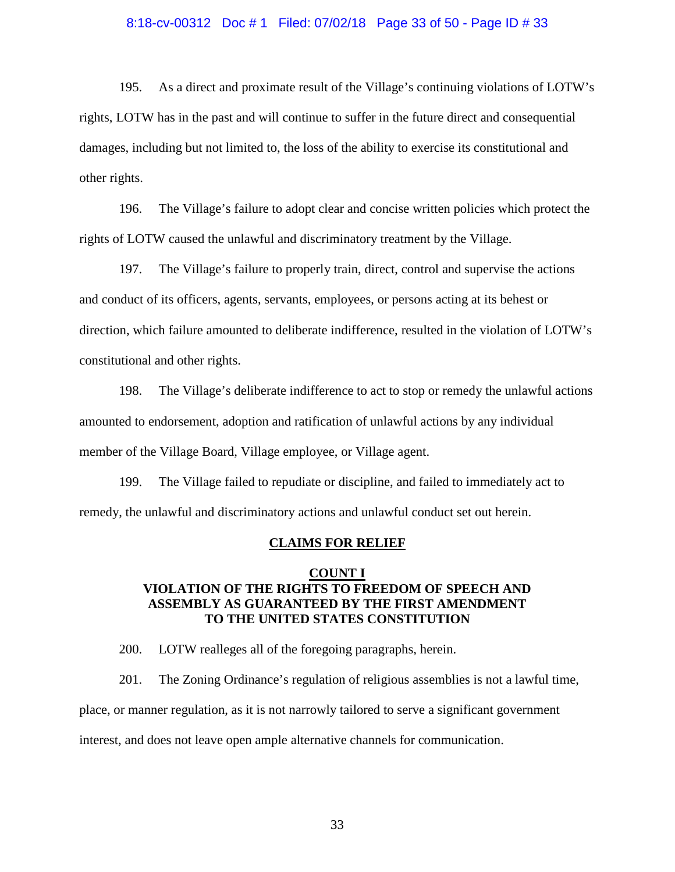#### 8:18-cv-00312 Doc # 1 Filed: 07/02/18 Page 33 of 50 - Page ID # 33

195. As a direct and proximate result of the Village's continuing violations of LOTW's rights, LOTW has in the past and will continue to suffer in the future direct and consequential damages, including but not limited to, the loss of the ability to exercise its constitutional and other rights.

196. The Village's failure to adopt clear and concise written policies which protect the rights of LOTW caused the unlawful and discriminatory treatment by the Village.

197. The Village's failure to properly train, direct, control and supervise the actions and conduct of its officers, agents, servants, employees, or persons acting at its behest or direction, which failure amounted to deliberate indifference, resulted in the violation of LOTW's constitutional and other rights.

198. The Village's deliberate indifference to act to stop or remedy the unlawful actions amounted to endorsement, adoption and ratification of unlawful actions by any individual member of the Village Board, Village employee, or Village agent.

199. The Village failed to repudiate or discipline, and failed to immediately act to remedy, the unlawful and discriminatory actions and unlawful conduct set out herein.

#### **CLAIMS FOR RELIEF**

### **COUNT I VIOLATION OF THE RIGHTS TO FREEDOM OF SPEECH AND ASSEMBLY AS GUARANTEED BY THE FIRST AMENDMENT TO THE UNITED STATES CONSTITUTION**

200. LOTW realleges all of the foregoing paragraphs, herein.

201. The Zoning Ordinance's regulation of religious assemblies is not a lawful time,

place, or manner regulation, as it is not narrowly tailored to serve a significant government

interest, and does not leave open ample alternative channels for communication.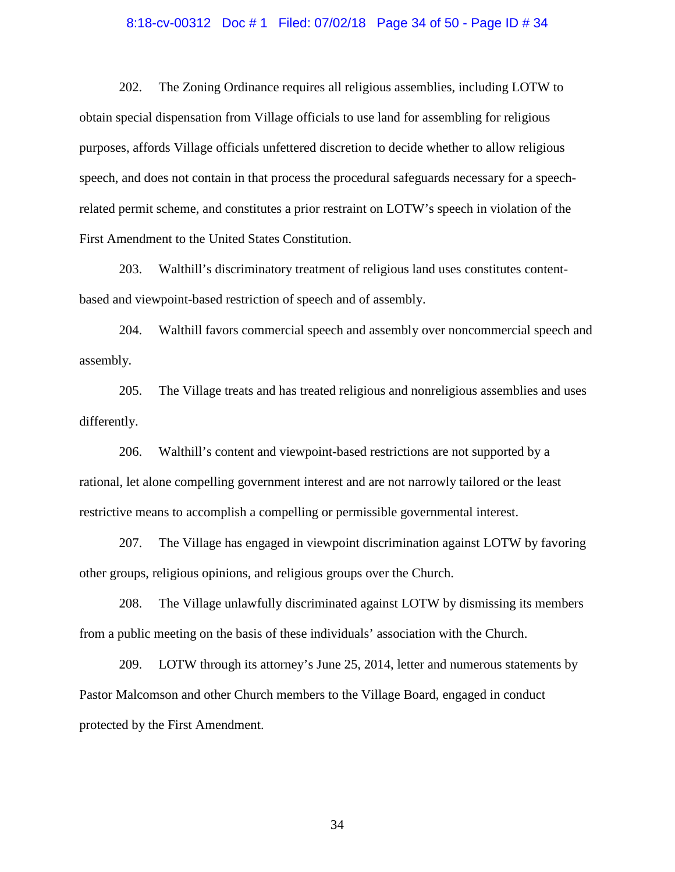# 8:18-cv-00312 Doc # 1 Filed: 07/02/18 Page 34 of 50 - Page ID # 34

202. The Zoning Ordinance requires all religious assemblies, including LOTW to obtain special dispensation from Village officials to use land for assembling for religious purposes, affords Village officials unfettered discretion to decide whether to allow religious speech, and does not contain in that process the procedural safeguards necessary for a speechrelated permit scheme, and constitutes a prior restraint on LOTW's speech in violation of the First Amendment to the United States Constitution.

203. Walthill's discriminatory treatment of religious land uses constitutes contentbased and viewpoint-based restriction of speech and of assembly.

204. Walthill favors commercial speech and assembly over noncommercial speech and assembly.

205. The Village treats and has treated religious and nonreligious assemblies and uses differently.

206. Walthill's content and viewpoint-based restrictions are not supported by a rational, let alone compelling government interest and are not narrowly tailored or the least restrictive means to accomplish a compelling or permissible governmental interest.

207. The Village has engaged in viewpoint discrimination against LOTW by favoring other groups, religious opinions, and religious groups over the Church.

208. The Village unlawfully discriminated against LOTW by dismissing its members from a public meeting on the basis of these individuals' association with the Church.

209. LOTW through its attorney's June 25, 2014, letter and numerous statements by Pastor Malcomson and other Church members to the Village Board, engaged in conduct protected by the First Amendment.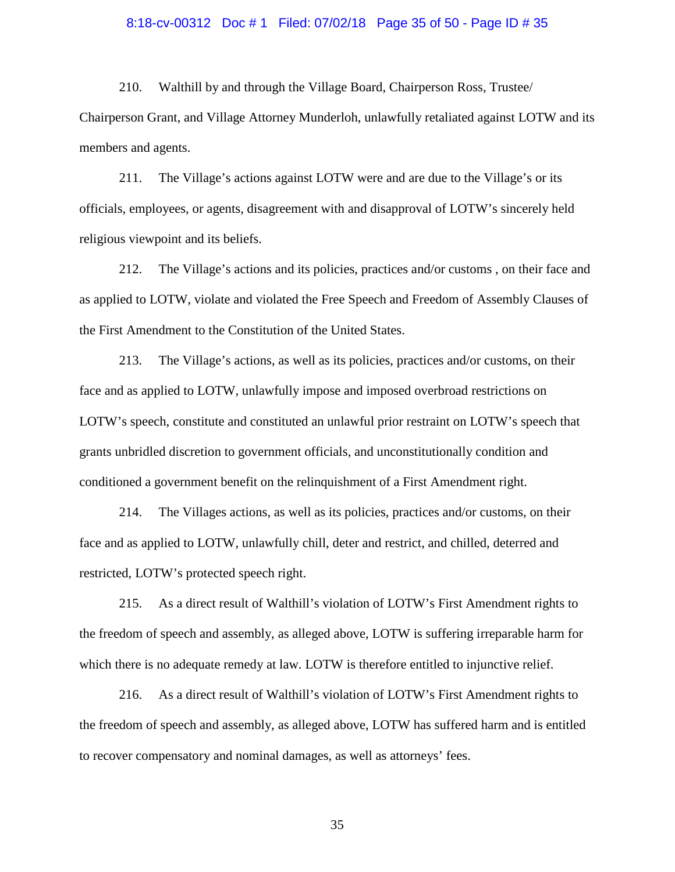#### 8:18-cv-00312 Doc # 1 Filed: 07/02/18 Page 35 of 50 - Page ID # 35

210. Walthill by and through the Village Board, Chairperson Ross, Trustee/ Chairperson Grant, and Village Attorney Munderloh, unlawfully retaliated against LOTW and its members and agents.

211. The Village's actions against LOTW were and are due to the Village's or its officials, employees, or agents, disagreement with and disapproval of LOTW's sincerely held religious viewpoint and its beliefs.

212. The Village's actions and its policies, practices and/or customs , on their face and as applied to LOTW, violate and violated the Free Speech and Freedom of Assembly Clauses of the First Amendment to the Constitution of the United States.

213. The Village's actions, as well as its policies, practices and/or customs, on their face and as applied to LOTW, unlawfully impose and imposed overbroad restrictions on LOTW's speech, constitute and constituted an unlawful prior restraint on LOTW's speech that grants unbridled discretion to government officials, and unconstitutionally condition and conditioned a government benefit on the relinquishment of a First Amendment right.

214. The Villages actions, as well as its policies, practices and/or customs, on their face and as applied to LOTW, unlawfully chill, deter and restrict, and chilled, deterred and restricted, LOTW's protected speech right.

215. As a direct result of Walthill's violation of LOTW's First Amendment rights to the freedom of speech and assembly, as alleged above, LOTW is suffering irreparable harm for which there is no adequate remedy at law. LOTW is therefore entitled to injunctive relief.

216. As a direct result of Walthill's violation of LOTW's First Amendment rights to the freedom of speech and assembly, as alleged above, LOTW has suffered harm and is entitled to recover compensatory and nominal damages, as well as attorneys' fees.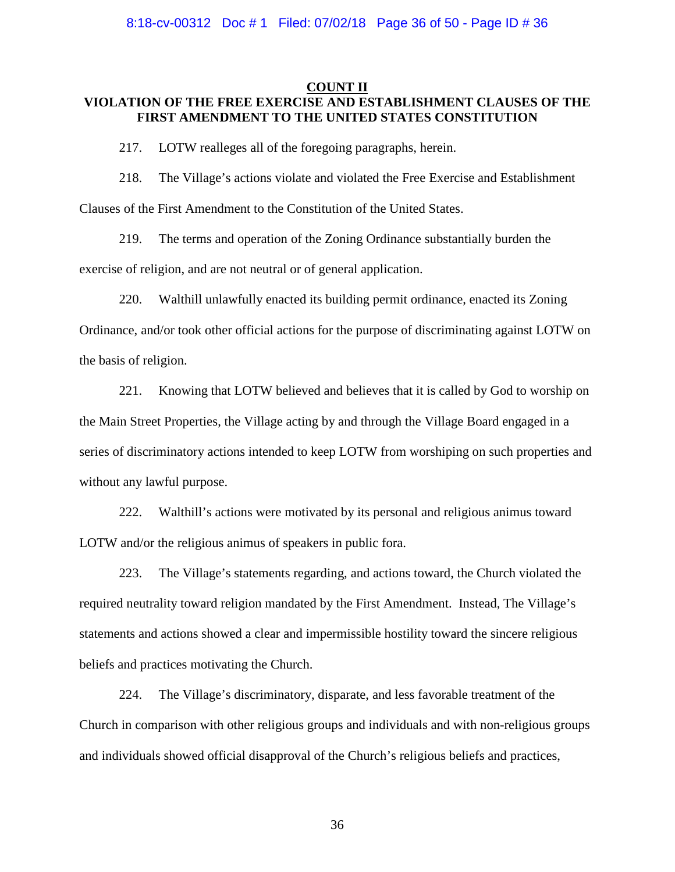### **COUNT II VIOLATION OF THE FREE EXERCISE AND ESTABLISHMENT CLAUSES OF THE FIRST AMENDMENT TO THE UNITED STATES CONSTITUTION**

217. LOTW realleges all of the foregoing paragraphs, herein.

218. The Village's actions violate and violated the Free Exercise and Establishment Clauses of the First Amendment to the Constitution of the United States.

219. The terms and operation of the Zoning Ordinance substantially burden the exercise of religion, and are not neutral or of general application.

220. Walthill unlawfully enacted its building permit ordinance, enacted its Zoning Ordinance, and/or took other official actions for the purpose of discriminating against LOTW on the basis of religion.

221. Knowing that LOTW believed and believes that it is called by God to worship on the Main Street Properties, the Village acting by and through the Village Board engaged in a series of discriminatory actions intended to keep LOTW from worshiping on such properties and without any lawful purpose.

222. Walthill's actions were motivated by its personal and religious animus toward LOTW and/or the religious animus of speakers in public fora.

223. The Village's statements regarding, and actions toward, the Church violated the required neutrality toward religion mandated by the First Amendment. Instead, The Village's statements and actions showed a clear and impermissible hostility toward the sincere religious beliefs and practices motivating the Church.

224. The Village's discriminatory, disparate, and less favorable treatment of the Church in comparison with other religious groups and individuals and with non-religious groups and individuals showed official disapproval of the Church's religious beliefs and practices,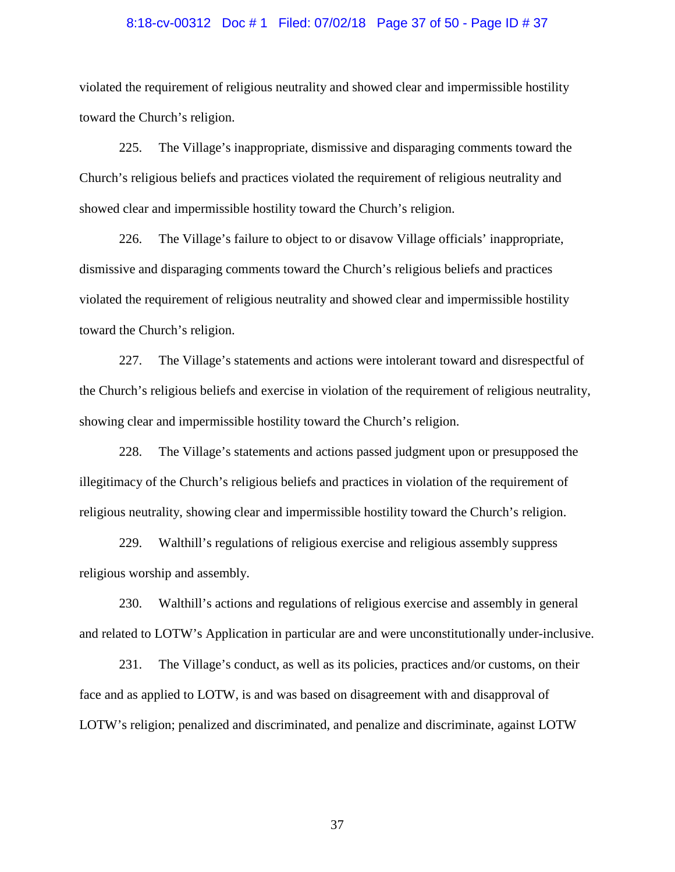# 8:18-cv-00312 Doc # 1 Filed: 07/02/18 Page 37 of 50 - Page ID # 37

violated the requirement of religious neutrality and showed clear and impermissible hostility toward the Church's religion.

225. The Village's inappropriate, dismissive and disparaging comments toward the Church's religious beliefs and practices violated the requirement of religious neutrality and showed clear and impermissible hostility toward the Church's religion.

226. The Village's failure to object to or disavow Village officials' inappropriate, dismissive and disparaging comments toward the Church's religious beliefs and practices violated the requirement of religious neutrality and showed clear and impermissible hostility toward the Church's religion.

227. The Village's statements and actions were intolerant toward and disrespectful of the Church's religious beliefs and exercise in violation of the requirement of religious neutrality, showing clear and impermissible hostility toward the Church's religion.

228. The Village's statements and actions passed judgment upon or presupposed the illegitimacy of the Church's religious beliefs and practices in violation of the requirement of religious neutrality, showing clear and impermissible hostility toward the Church's religion.

229. Walthill's regulations of religious exercise and religious assembly suppress religious worship and assembly.

230. Walthill's actions and regulations of religious exercise and assembly in general and related to LOTW's Application in particular are and were unconstitutionally under-inclusive.

231. The Village's conduct, as well as its policies, practices and/or customs, on their face and as applied to LOTW, is and was based on disagreement with and disapproval of LOTW's religion; penalized and discriminated, and penalize and discriminate, against LOTW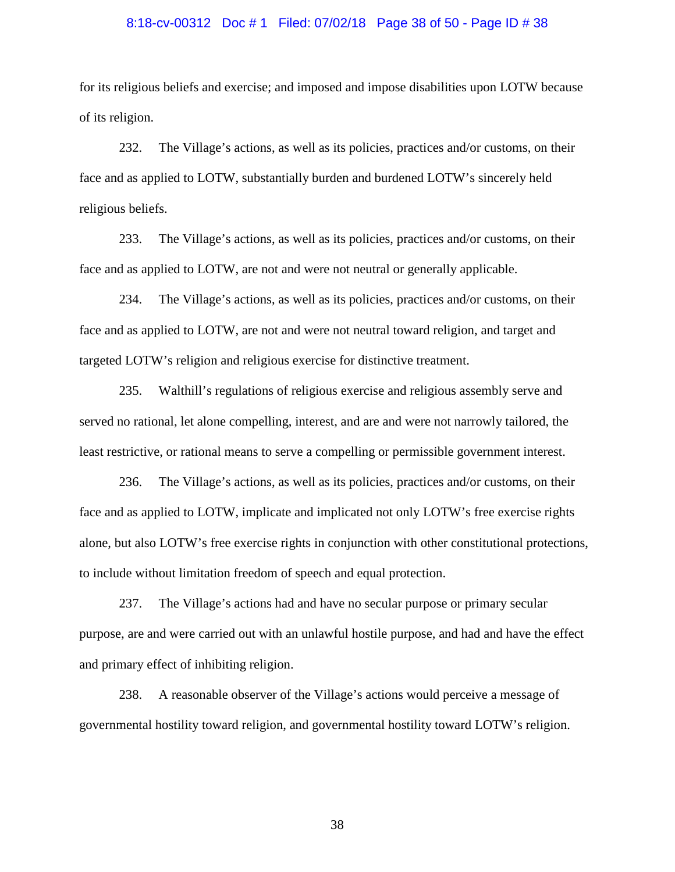# 8:18-cv-00312 Doc # 1 Filed: 07/02/18 Page 38 of 50 - Page ID # 38

for its religious beliefs and exercise; and imposed and impose disabilities upon LOTW because of its religion.

232. The Village's actions, as well as its policies, practices and/or customs, on their face and as applied to LOTW, substantially burden and burdened LOTW's sincerely held religious beliefs.

233. The Village's actions, as well as its policies, practices and/or customs, on their face and as applied to LOTW, are not and were not neutral or generally applicable.

234. The Village's actions, as well as its policies, practices and/or customs, on their face and as applied to LOTW, are not and were not neutral toward religion, and target and targeted LOTW's religion and religious exercise for distinctive treatment.

235. Walthill's regulations of religious exercise and religious assembly serve and served no rational, let alone compelling, interest, and are and were not narrowly tailored, the least restrictive, or rational means to serve a compelling or permissible government interest.

236. The Village's actions, as well as its policies, practices and/or customs, on their face and as applied to LOTW, implicate and implicated not only LOTW's free exercise rights alone, but also LOTW's free exercise rights in conjunction with other constitutional protections, to include without limitation freedom of speech and equal protection.

237. The Village's actions had and have no secular purpose or primary secular purpose, are and were carried out with an unlawful hostile purpose, and had and have the effect and primary effect of inhibiting religion.

238. A reasonable observer of the Village's actions would perceive a message of governmental hostility toward religion, and governmental hostility toward LOTW's religion.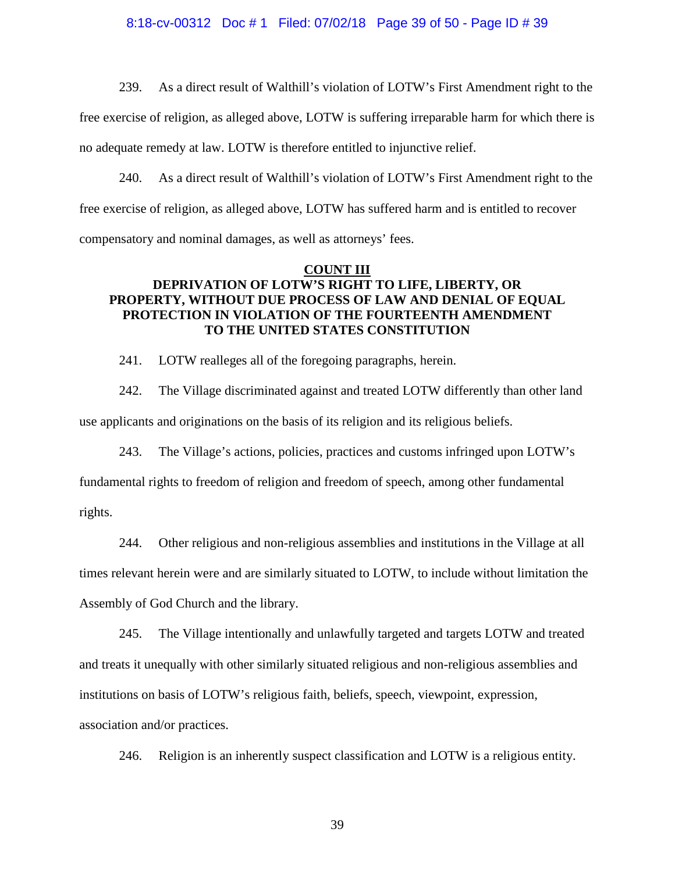# 8:18-cv-00312 Doc # 1 Filed: 07/02/18 Page 39 of 50 - Page ID # 39

239. As a direct result of Walthill's violation of LOTW's First Amendment right to the

free exercise of religion, as alleged above, LOTW is suffering irreparable harm for which there is no adequate remedy at law. LOTW is therefore entitled to injunctive relief.

240. As a direct result of Walthill's violation of LOTW's First Amendment right to the free exercise of religion, as alleged above, LOTW has suffered harm and is entitled to recover compensatory and nominal damages, as well as attorneys' fees.

# **COUNT III**

## **DEPRIVATION OF LOTW'S RIGHT TO LIFE, LIBERTY, OR PROPERTY, WITHOUT DUE PROCESS OF LAW AND DENIAL OF EQUAL PROTECTION IN VIOLATION OF THE FOURTEENTH AMENDMENT TO THE UNITED STATES CONSTITUTION**

241. LOTW realleges all of the foregoing paragraphs, herein.

242. The Village discriminated against and treated LOTW differently than other land use applicants and originations on the basis of its religion and its religious beliefs.

243. The Village's actions, policies, practices and customs infringed upon LOTW's

fundamental rights to freedom of religion and freedom of speech, among other fundamental rights.

244. Other religious and non-religious assemblies and institutions in the Village at all times relevant herein were and are similarly situated to LOTW, to include without limitation the Assembly of God Church and the library.

245. The Village intentionally and unlawfully targeted and targets LOTW and treated and treats it unequally with other similarly situated religious and non-religious assemblies and institutions on basis of LOTW's religious faith, beliefs, speech, viewpoint, expression, association and/or practices.

246. Religion is an inherently suspect classification and LOTW is a religious entity.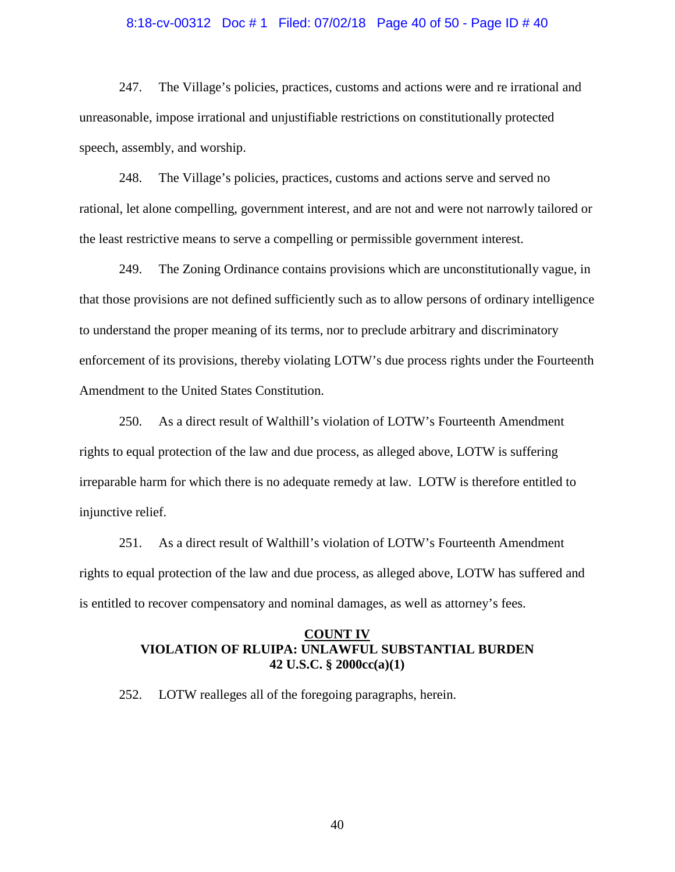#### 8:18-cv-00312 Doc # 1 Filed: 07/02/18 Page 40 of 50 - Page ID # 40

247. The Village's policies, practices, customs and actions were and re irrational and unreasonable, impose irrational and unjustifiable restrictions on constitutionally protected speech, assembly, and worship.

248. The Village's policies, practices, customs and actions serve and served no rational, let alone compelling, government interest, and are not and were not narrowly tailored or the least restrictive means to serve a compelling or permissible government interest.

249. The Zoning Ordinance contains provisions which are unconstitutionally vague, in that those provisions are not defined sufficiently such as to allow persons of ordinary intelligence to understand the proper meaning of its terms, nor to preclude arbitrary and discriminatory enforcement of its provisions, thereby violating LOTW's due process rights under the Fourteenth Amendment to the United States Constitution.

250. As a direct result of Walthill's violation of LOTW's Fourteenth Amendment rights to equal protection of the law and due process, as alleged above, LOTW is suffering irreparable harm for which there is no adequate remedy at law. LOTW is therefore entitled to injunctive relief.

251. As a direct result of Walthill's violation of LOTW's Fourteenth Amendment rights to equal protection of the law and due process, as alleged above, LOTW has suffered and is entitled to recover compensatory and nominal damages, as well as attorney's fees.

### **COUNT IV VIOLATION OF RLUIPA: UNLAWFUL SUBSTANTIAL BURDEN 42 U.S.C. § 2000cc(a)(1)**

252. LOTW realleges all of the foregoing paragraphs, herein.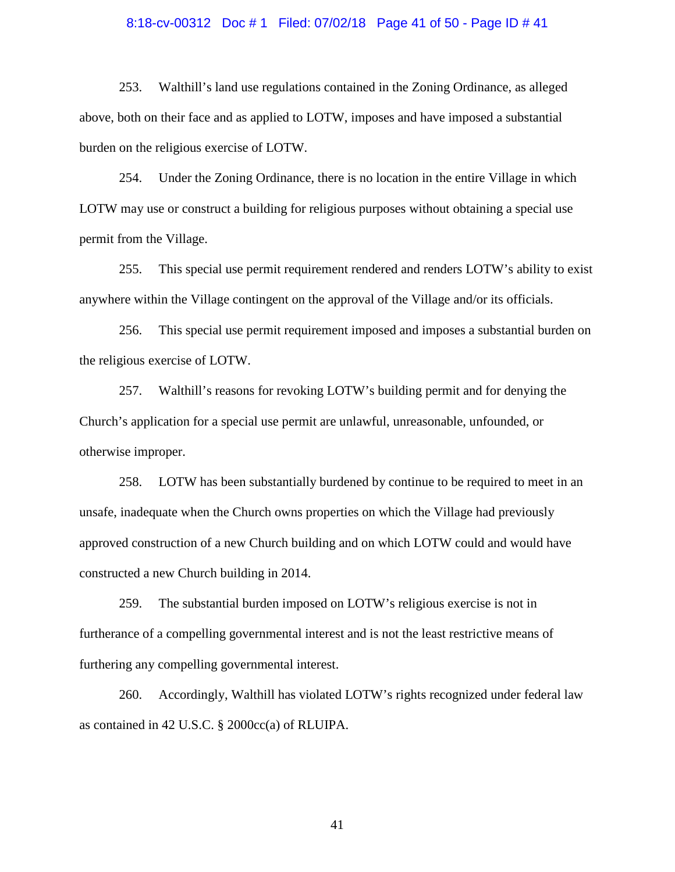#### 8:18-cv-00312 Doc # 1 Filed: 07/02/18 Page 41 of 50 - Page ID # 41

253. Walthill's land use regulations contained in the Zoning Ordinance, as alleged above, both on their face and as applied to LOTW, imposes and have imposed a substantial burden on the religious exercise of LOTW.

254. Under the Zoning Ordinance, there is no location in the entire Village in which LOTW may use or construct a building for religious purposes without obtaining a special use permit from the Village.

255. This special use permit requirement rendered and renders LOTW's ability to exist anywhere within the Village contingent on the approval of the Village and/or its officials.

256. This special use permit requirement imposed and imposes a substantial burden on the religious exercise of LOTW.

257. Walthill's reasons for revoking LOTW's building permit and for denying the Church's application for a special use permit are unlawful, unreasonable, unfounded, or otherwise improper.

258. LOTW has been substantially burdened by continue to be required to meet in an unsafe, inadequate when the Church owns properties on which the Village had previously approved construction of a new Church building and on which LOTW could and would have constructed a new Church building in 2014.

259. The substantial burden imposed on LOTW's religious exercise is not in furtherance of a compelling governmental interest and is not the least restrictive means of furthering any compelling governmental interest.

260. Accordingly, Walthill has violated LOTW's rights recognized under federal law as contained in 42 U.S.C. § 2000cc(a) of RLUIPA.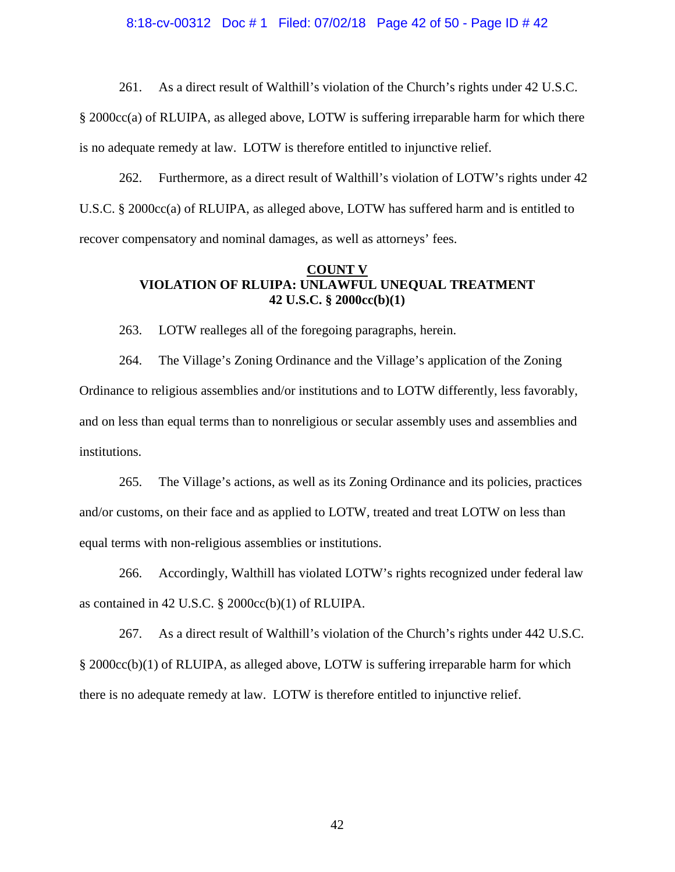# 8:18-cv-00312 Doc # 1 Filed: 07/02/18 Page 42 of 50 - Page ID # 42

261. As a direct result of Walthill's violation of the Church's rights under 42 U.S.C.

§ 2000cc(a) of RLUIPA, as alleged above, LOTW is suffering irreparable harm for which there is no adequate remedy at law. LOTW is therefore entitled to injunctive relief.

262. Furthermore, as a direct result of Walthill's violation of LOTW's rights under 42 U.S.C. § 2000cc(a) of RLUIPA, as alleged above, LOTW has suffered harm and is entitled to recover compensatory and nominal damages, as well as attorneys' fees.

### **COUNT V VIOLATION OF RLUIPA: UNLAWFUL UNEQUAL TREATMENT 42 U.S.C. § 2000cc(b)(1)**

263. LOTW realleges all of the foregoing paragraphs, herein.

264. The Village's Zoning Ordinance and the Village's application of the Zoning Ordinance to religious assemblies and/or institutions and to LOTW differently, less favorably, and on less than equal terms than to nonreligious or secular assembly uses and assemblies and institutions.

265. The Village's actions, as well as its Zoning Ordinance and its policies, practices and/or customs, on their face and as applied to LOTW, treated and treat LOTW on less than equal terms with non-religious assemblies or institutions.

266. Accordingly, Walthill has violated LOTW's rights recognized under federal law as contained in 42 U.S.C. § 2000cc(b)(1) of RLUIPA.

267. As a direct result of Walthill's violation of the Church's rights under 442 U.S.C. § 2000cc(b)(1) of RLUIPA, as alleged above, LOTW is suffering irreparable harm for which there is no adequate remedy at law. LOTW is therefore entitled to injunctive relief.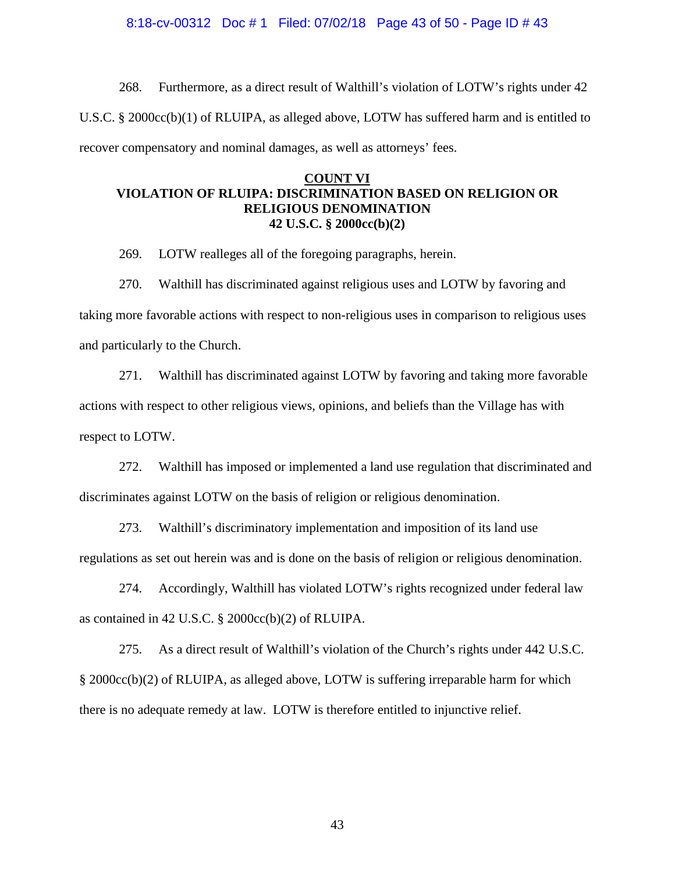#### 8:18-cv-00312 Doc # 1 Filed: 07/02/18 Page 43 of 50 - Page ID # 43

268. Furthermore, as a direct result of Walthill's violation of LOTW's rights under 42 U.S.C. § 2000cc(b)(1) of RLUIPA, as alleged above, LOTW has suffered harm and is entitled to recover compensatory and nominal damages, as well as attorneys' fees.

### **COUNT VI VIOLATION OF RLUIPA: DISCRIMINATION BASED ON RELIGION OR RELIGIOUS DENOMINATION 42 U.S.C. § 2000cc(b)(2)**

269. LOTW realleges all of the foregoing paragraphs, herein.

270. Walthill has discriminated against religious uses and LOTW by favoring and taking more favorable actions with respect to non-religious uses in comparison to religious uses and particularly to the Church.

271. Walthill has discriminated against LOTW by favoring and taking more favorable actions with respect to other religious views, opinions, and beliefs than the Village has with respect to LOTW.

272. Walthill has imposed or implemented a land use regulation that discriminated and discriminates against LOTW on the basis of religion or religious denomination.

273. Walthill's discriminatory implementation and imposition of its land use regulations as set out herein was and is done on the basis of religion or religious denomination.

274. Accordingly, Walthill has violated LOTW's rights recognized under federal law as contained in 42 U.S.C. § 2000cc(b)(2) of RLUIPA.

275. As a direct result of Walthill's violation of the Church's rights under 442 U.S.C. § 2000cc(b)(2) of RLUIPA, as alleged above, LOTW is suffering irreparable harm for which there is no adequate remedy at law. LOTW is therefore entitled to injunctive relief.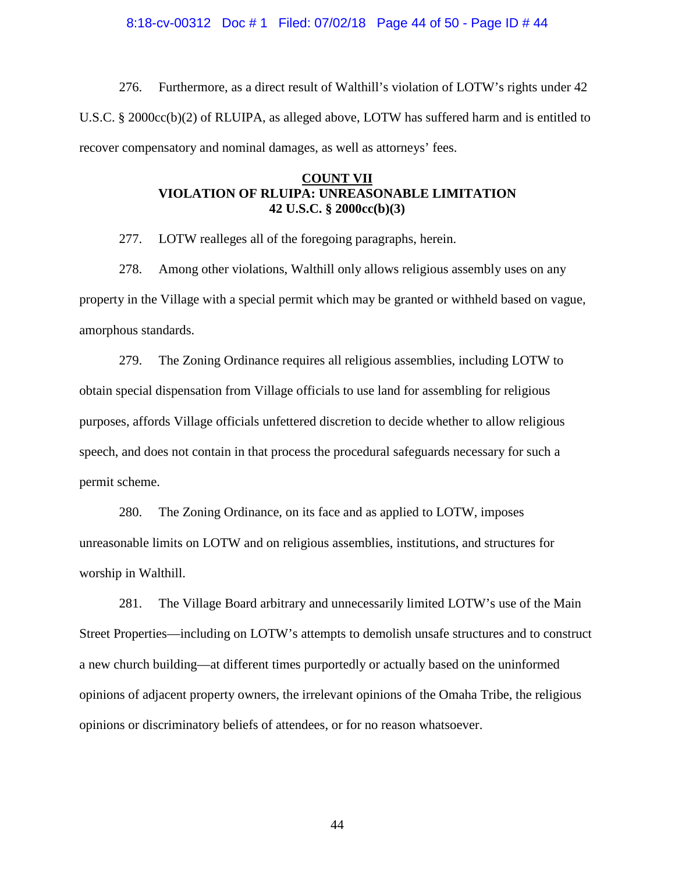#### 8:18-cv-00312 Doc # 1 Filed: 07/02/18 Page 44 of 50 - Page ID # 44

276. Furthermore, as a direct result of Walthill's violation of LOTW's rights under 42 U.S.C. § 2000cc(b)(2) of RLUIPA, as alleged above, LOTW has suffered harm and is entitled to recover compensatory and nominal damages, as well as attorneys' fees.

### **COUNT VII VIOLATION OF RLUIPA: UNREASONABLE LIMITATION 42 U.S.C. § 2000cc(b)(3)**

277. LOTW realleges all of the foregoing paragraphs, herein.

278. Among other violations, Walthill only allows religious assembly uses on any property in the Village with a special permit which may be granted or withheld based on vague, amorphous standards.

279. The Zoning Ordinance requires all religious assemblies, including LOTW to obtain special dispensation from Village officials to use land for assembling for religious purposes, affords Village officials unfettered discretion to decide whether to allow religious speech, and does not contain in that process the procedural safeguards necessary for such a permit scheme.

280. The Zoning Ordinance, on its face and as applied to LOTW, imposes unreasonable limits on LOTW and on religious assemblies, institutions, and structures for worship in Walthill.

281. The Village Board arbitrary and unnecessarily limited LOTW's use of the Main Street Properties—including on LOTW's attempts to demolish unsafe structures and to construct a new church building—at different times purportedly or actually based on the uninformed opinions of adjacent property owners, the irrelevant opinions of the Omaha Tribe, the religious opinions or discriminatory beliefs of attendees, or for no reason whatsoever.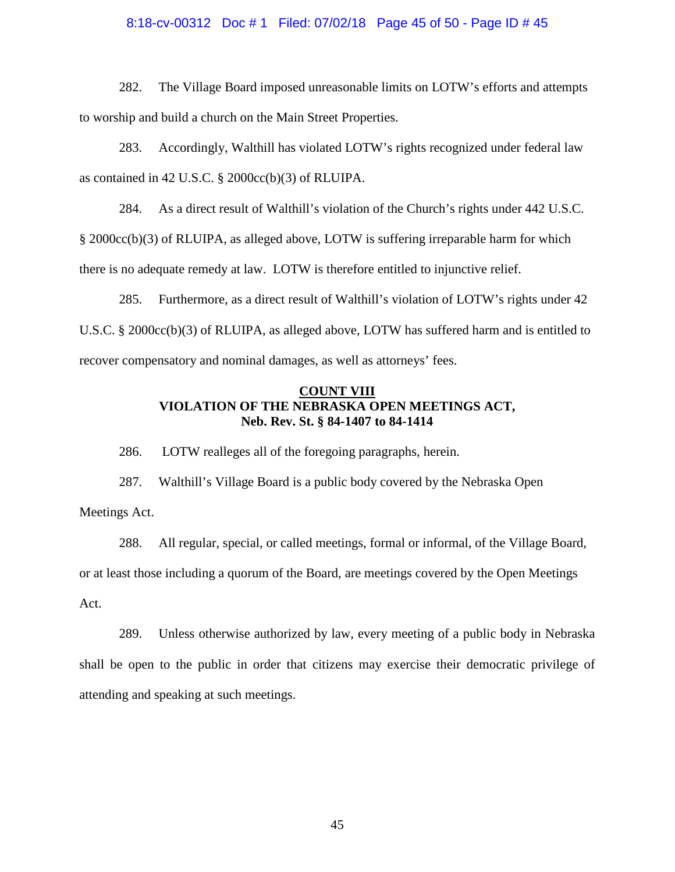# 8:18-cv-00312 Doc # 1 Filed: 07/02/18 Page 45 of 50 - Page ID # 45

282. The Village Board imposed unreasonable limits on LOTW's efforts and attempts to worship and build a church on the Main Street Properties.

283. Accordingly, Walthill has violated LOTW's rights recognized under federal law as contained in 42 U.S.C. § 2000cc(b)(3) of RLUIPA.

284. As a direct result of Walthill's violation of the Church's rights under 442 U.S.C. § 2000cc(b)(3) of RLUIPA, as alleged above, LOTW is suffering irreparable harm for which

there is no adequate remedy at law. LOTW is therefore entitled to injunctive relief.

285. Furthermore, as a direct result of Walthill's violation of LOTW's rights under 42 U.S.C. § 2000cc(b)(3) of RLUIPA, as alleged above, LOTW has suffered harm and is entitled to recover compensatory and nominal damages, as well as attorneys' fees.

### **COUNT VIII VIOLATION OF THE NEBRASKA OPEN MEETINGS ACT, Neb. Rev. St. § 84-1407 to 84-1414**

286. LOTW realleges all of the foregoing paragraphs, herein.

287. Walthill's Village Board is a public body covered by the Nebraska Open Meetings Act.

288. All regular, special, or called meetings, formal or informal, of the Village Board, or at least those including a quorum of the Board, are meetings covered by the Open Meetings Act.

289. Unless otherwise authorized by law, every meeting of a public body in Nebraska shall be open to the public in order that citizens may exercise their democratic privilege of attending and speaking at such meetings.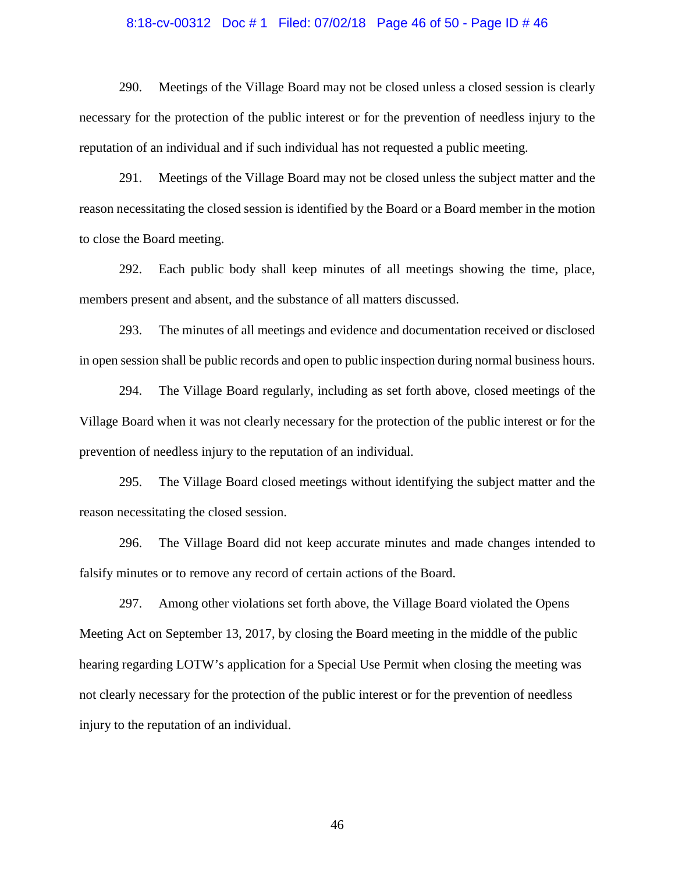# 8:18-cv-00312 Doc # 1 Filed: 07/02/18 Page 46 of 50 - Page ID # 46

290. Meetings of the Village Board may not be closed unless a closed session is clearly necessary for the protection of the public interest or for the prevention of needless injury to the reputation of an individual and if such individual has not requested a public meeting.

291. Meetings of the Village Board may not be closed unless the subject matter and the reason necessitating the closed session is identified by the Board or a Board member in the motion to close the Board meeting.

292. Each public body shall keep minutes of all meetings showing the time, place, members present and absent, and the substance of all matters discussed.

293. The minutes of all meetings and evidence and documentation received or disclosed in open session shall be public records and open to public inspection during normal business hours.

294. The Village Board regularly, including as set forth above, closed meetings of the Village Board when it was not clearly necessary for the protection of the public interest or for the prevention of needless injury to the reputation of an individual.

295. The Village Board closed meetings without identifying the subject matter and the reason necessitating the closed session.

296. The Village Board did not keep accurate minutes and made changes intended to falsify minutes or to remove any record of certain actions of the Board.

297. Among other violations set forth above, the Village Board violated the Opens Meeting Act on September 13, 2017, by closing the Board meeting in the middle of the public hearing regarding LOTW's application for a Special Use Permit when closing the meeting was not clearly necessary for the protection of the public interest or for the prevention of needless injury to the reputation of an individual.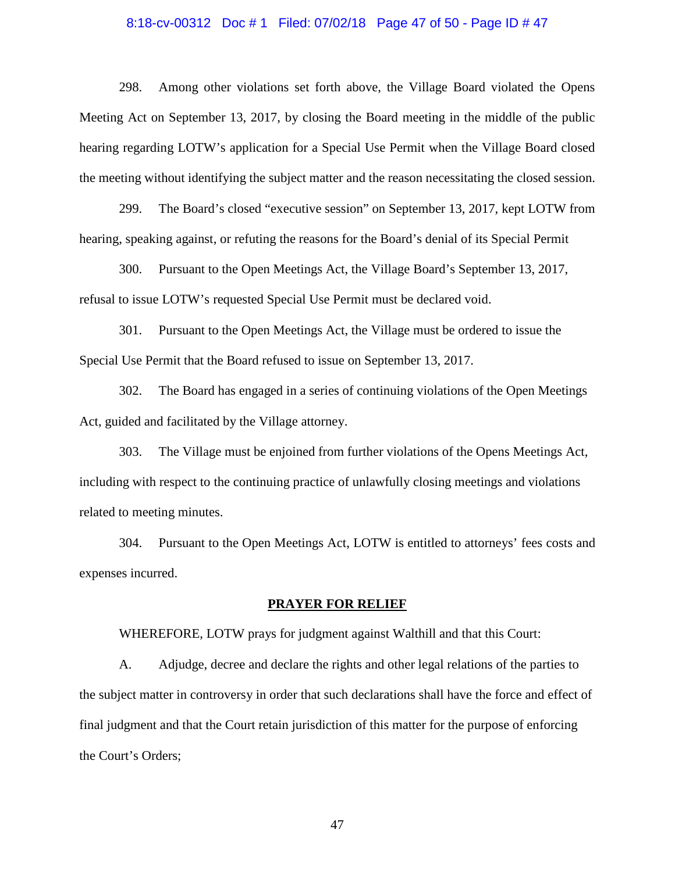# 8:18-cv-00312 Doc # 1 Filed: 07/02/18 Page 47 of 50 - Page ID # 47

298. Among other violations set forth above, the Village Board violated the Opens Meeting Act on September 13, 2017, by closing the Board meeting in the middle of the public hearing regarding LOTW's application for a Special Use Permit when the Village Board closed the meeting without identifying the subject matter and the reason necessitating the closed session.

299. The Board's closed "executive session" on September 13, 2017, kept LOTW from hearing, speaking against, or refuting the reasons for the Board's denial of its Special Permit

300. Pursuant to the Open Meetings Act, the Village Board's September 13, 2017, refusal to issue LOTW's requested Special Use Permit must be declared void.

301. Pursuant to the Open Meetings Act, the Village must be ordered to issue the Special Use Permit that the Board refused to issue on September 13, 2017.

302. The Board has engaged in a series of continuing violations of the Open Meetings Act, guided and facilitated by the Village attorney.

303. The Village must be enjoined from further violations of the Opens Meetings Act, including with respect to the continuing practice of unlawfully closing meetings and violations related to meeting minutes.

304. Pursuant to the Open Meetings Act, LOTW is entitled to attorneys' fees costs and expenses incurred.

#### **PRAYER FOR RELIEF**

WHEREFORE, LOTW prays for judgment against Walthill and that this Court:

A. Adjudge, decree and declare the rights and other legal relations of the parties to the subject matter in controversy in order that such declarations shall have the force and effect of final judgment and that the Court retain jurisdiction of this matter for the purpose of enforcing the Court's Orders;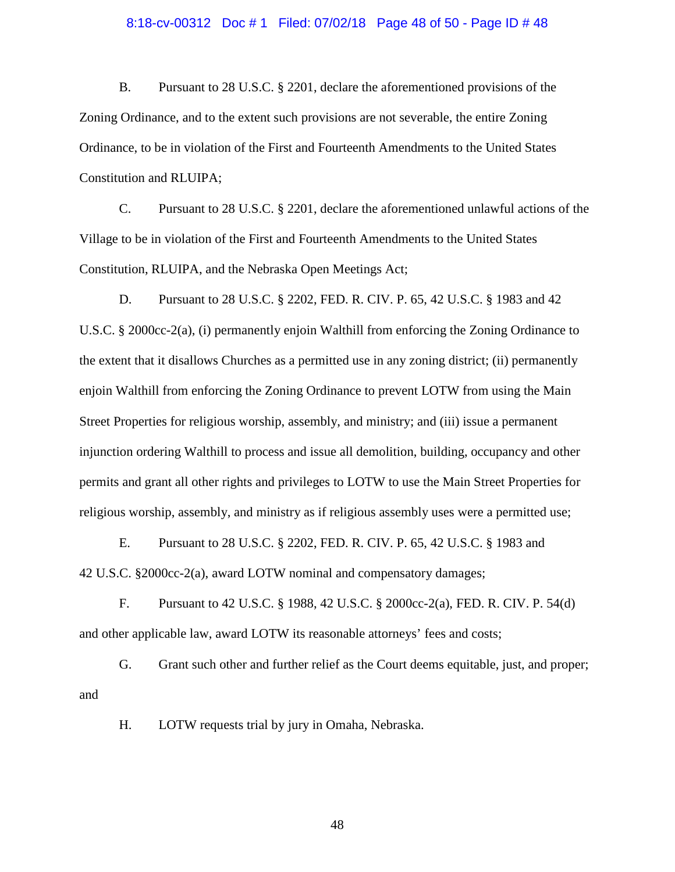#### 8:18-cv-00312 Doc # 1 Filed: 07/02/18 Page 48 of 50 - Page ID # 48

B. Pursuant to 28 U.S.C. § 2201, declare the aforementioned provisions of the Zoning Ordinance, and to the extent such provisions are not severable, the entire Zoning Ordinance, to be in violation of the First and Fourteenth Amendments to the United States Constitution and RLUIPA;

C. Pursuant to 28 U.S.C. § 2201, declare the aforementioned unlawful actions of the Village to be in violation of the First and Fourteenth Amendments to the United States Constitution, RLUIPA, and the Nebraska Open Meetings Act;

D. Pursuant to 28 U.S.C. § 2202, FED. R. CIV. P. 65, 42 U.S.C. § 1983 and 42 U.S.C. § 2000cc-2(a), (i) permanently enjoin Walthill from enforcing the Zoning Ordinance to the extent that it disallows Churches as a permitted use in any zoning district; (ii) permanently enjoin Walthill from enforcing the Zoning Ordinance to prevent LOTW from using the Main Street Properties for religious worship, assembly, and ministry; and (iii) issue a permanent injunction ordering Walthill to process and issue all demolition, building, occupancy and other permits and grant all other rights and privileges to LOTW to use the Main Street Properties for religious worship, assembly, and ministry as if religious assembly uses were a permitted use;

E. Pursuant to 28 U.S.C. § 2202, FED. R. CIV. P. 65, 42 U.S.C. § 1983 and 42 U.S.C. §2000cc-2(a), award LOTW nominal and compensatory damages;

F. Pursuant to 42 U.S.C. § 1988, 42 U.S.C. § 2000cc-2(a), FED. R. CIV. P. 54(d) and other applicable law, award LOTW its reasonable attorneys' fees and costs;

G. Grant such other and further relief as the Court deems equitable, just, and proper; and

H. LOTW requests trial by jury in Omaha, Nebraska.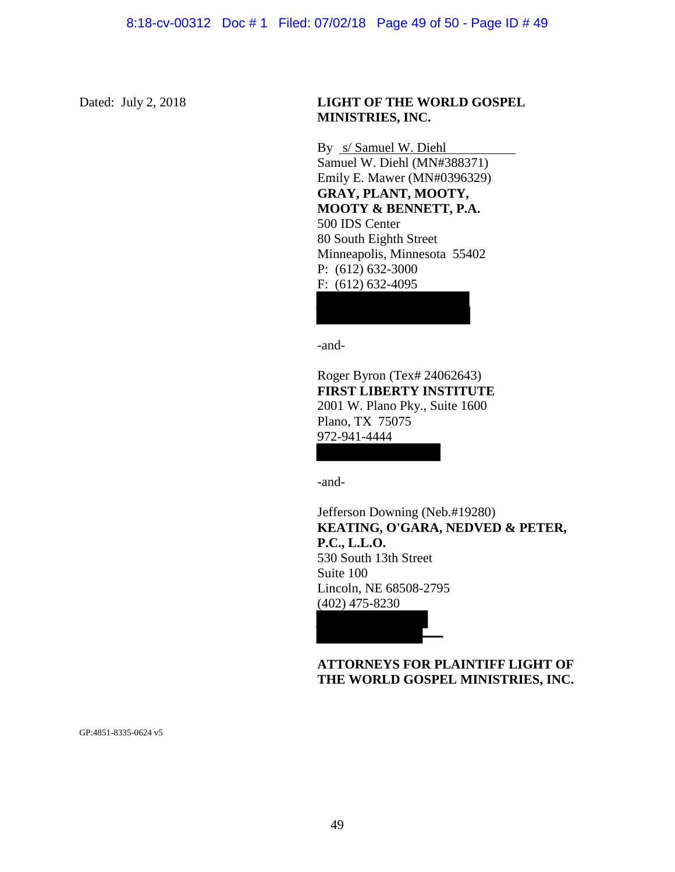### Dated: July 2, 2018 **LIGHT OF THE WORLD GOSPEL MINISTRIES, INC.**

By s/ Samuel W. Diehl Samuel W. Diehl (MN#388371) Emily E. Mawer (MN#0396329) **GRAY, PLANT, MOOTY, MOOTY & BENNETT, P.A.**  500 IDS Center 80 South Eighth Street Minneapolis, Minnesota 55402 P: (612) 632-3000 F: (612) 632-4095

-and-

Roger Byron (Tex# 24062643) **FIRST LIBERTY INSTITUTE**  2001 W. Plano Pky., Suite 1600 Plano, TX 75075 972-941-4444

-and-

Jefferson Downing (Neb.#19280) **KEATING, O'GARA, NEDVED & PETER, P.C., L.L.O.**  530 South 13th Street Suite 100 Lincoln, NE 68508-2795 (402) 475-8230

### **ATTORNEYS FOR PLAINTIFF LIGHT OF THE WORLD GOSPEL MINISTRIES, INC.**

GP:4851-8335-0624 v5